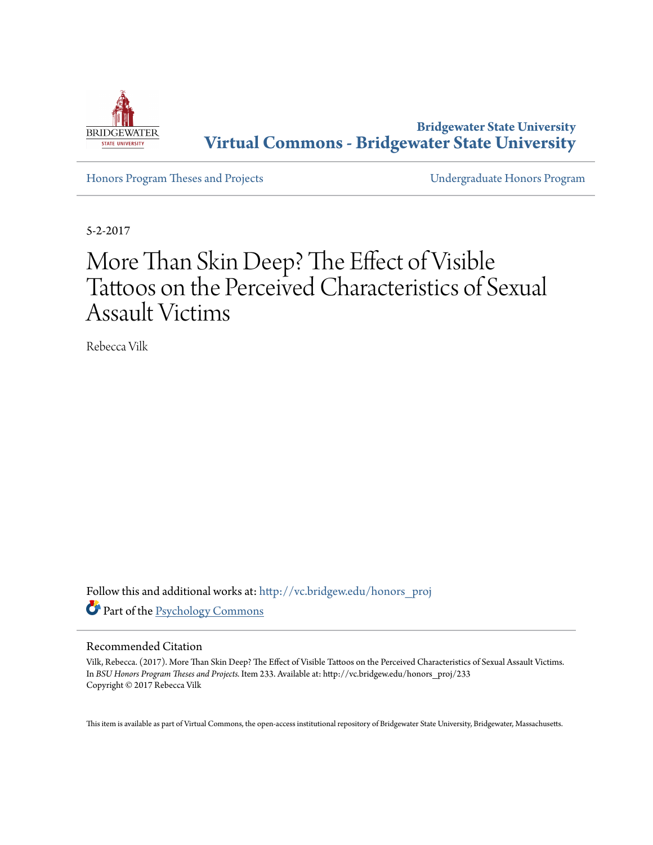

**Bridgewater State University [Virtual Commons - Bridgewater State University](http://vc.bridgew.edu?utm_source=vc.bridgew.edu%2Fhonors_proj%2F233&utm_medium=PDF&utm_campaign=PDFCoverPages)**

[Honors Program Theses and Projects](http://vc.bridgew.edu/honors_proj?utm_source=vc.bridgew.edu%2Fhonors_proj%2F233&utm_medium=PDF&utm_campaign=PDFCoverPages) [Undergraduate Honors Program](http://vc.bridgew.edu/honors?utm_source=vc.bridgew.edu%2Fhonors_proj%2F233&utm_medium=PDF&utm_campaign=PDFCoverPages)

5-2-2017

# More Than Skin Deep? The Effect of Visible Tattoos on the Perceived Characteristics of Sexual Assault Victims

Rebecca Vilk

Follow this and additional works at: [http://vc.bridgew.edu/honors\\_proj](http://vc.bridgew.edu/honors_proj?utm_source=vc.bridgew.edu%2Fhonors_proj%2F233&utm_medium=PDF&utm_campaign=PDFCoverPages) Part of the [Psychology Commons](http://network.bepress.com/hgg/discipline/404?utm_source=vc.bridgew.edu%2Fhonors_proj%2F233&utm_medium=PDF&utm_campaign=PDFCoverPages)

#### Recommended Citation

Vilk, Rebecca. (2017). More Than Skin Deep? The Effect of Visible Tattoos on the Perceived Characteristics of Sexual Assault Victims. In *BSU Honors Program Theses and Projects.* Item 233. Available at: http://vc.bridgew.edu/honors\_proj/233 Copyright © 2017 Rebecca Vilk

This item is available as part of Virtual Commons, the open-access institutional repository of Bridgewater State University, Bridgewater, Massachusetts.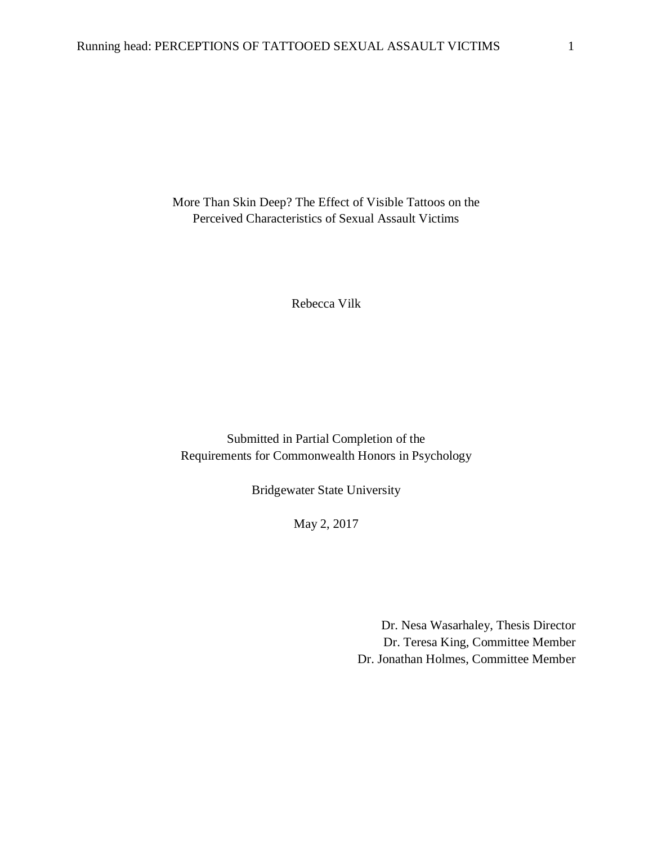More Than Skin Deep? The Effect of Visible Tattoos on the Perceived Characteristics of Sexual Assault Victims

Rebecca Vilk

Submitted in Partial Completion of the Requirements for Commonwealth Honors in Psychology

Bridgewater State University

May 2, 2017

Dr. Nesa Wasarhaley, Thesis Director Dr. Teresa King, Committee Member Dr. Jonathan Holmes, Committee Member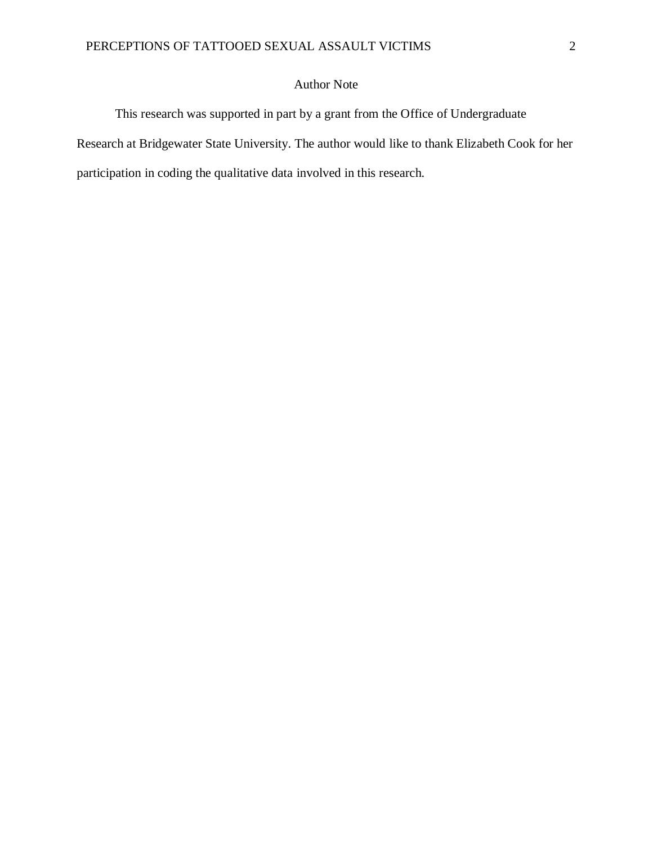## Author Note

This research was supported in part by a grant from the Office of Undergraduate Research at Bridgewater State University. The author would like to thank Elizabeth Cook for her participation in coding the qualitative data involved in this research.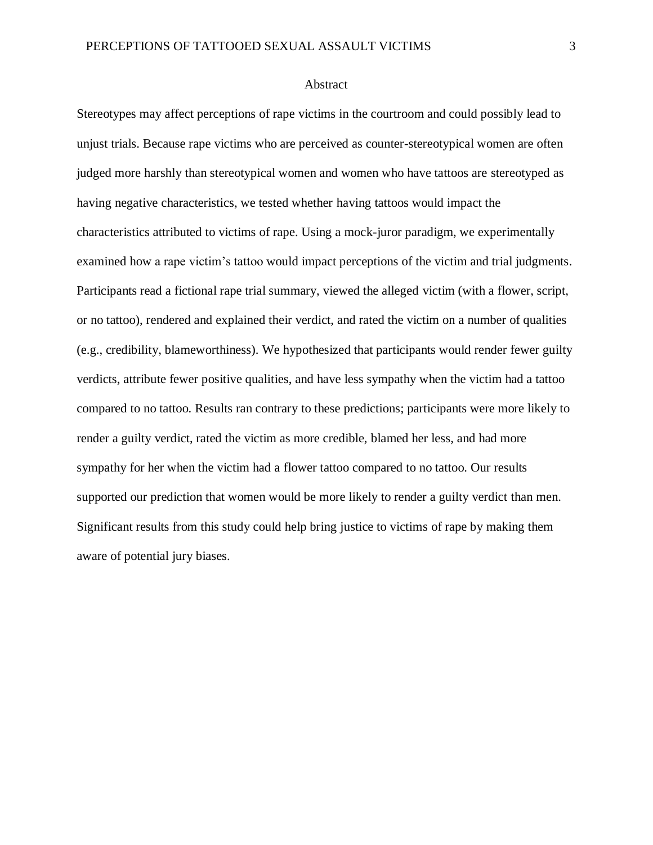#### Abstract

Stereotypes may affect perceptions of rape victims in the courtroom and could possibly lead to unjust trials. Because rape victims who are perceived as counter-stereotypical women are often judged more harshly than stereotypical women and women who have tattoos are stereotyped as having negative characteristics, we tested whether having tattoos would impact the characteristics attributed to victims of rape. Using a mock-juror paradigm, we experimentally examined how a rape victim's tattoo would impact perceptions of the victim and trial judgments. Participants read a fictional rape trial summary, viewed the alleged victim (with a flower, script, or no tattoo), rendered and explained their verdict, and rated the victim on a number of qualities (e.g., credibility, blameworthiness). We hypothesized that participants would render fewer guilty verdicts, attribute fewer positive qualities, and have less sympathy when the victim had a tattoo compared to no tattoo. Results ran contrary to these predictions; participants were more likely to render a guilty verdict, rated the victim as more credible, blamed her less, and had more sympathy for her when the victim had a flower tattoo compared to no tattoo. Our results supported our prediction that women would be more likely to render a guilty verdict than men. Significant results from this study could help bring justice to victims of rape by making them aware of potential jury biases.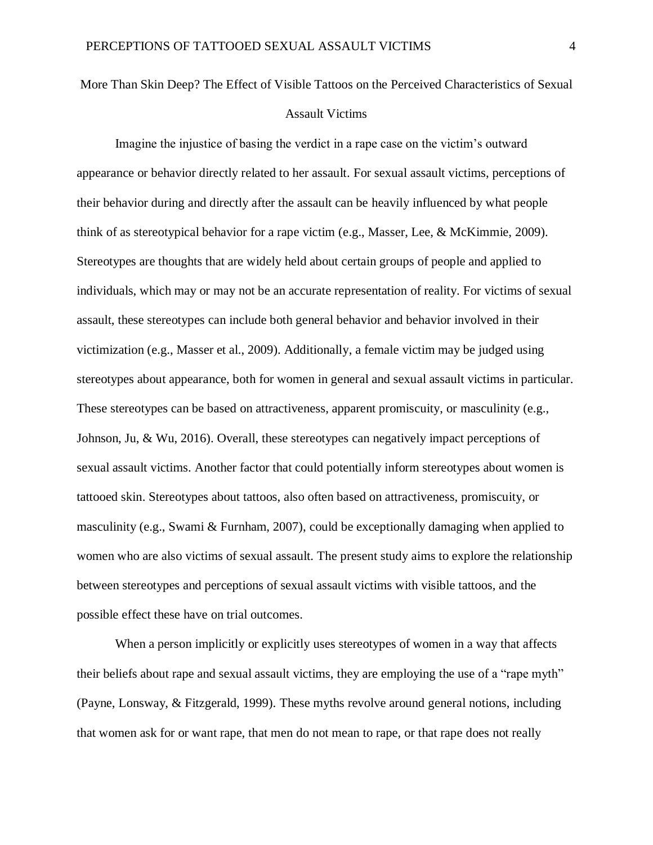## More Than Skin Deep? The Effect of Visible Tattoos on the Perceived Characteristics of Sexual Assault Victims

Imagine the injustice of basing the verdict in a rape case on the victim's outward appearance or behavior directly related to her assault. For sexual assault victims, perceptions of their behavior during and directly after the assault can be heavily influenced by what people think of as stereotypical behavior for a rape victim (e.g., Masser, Lee, & McKimmie, 2009). Stereotypes are thoughts that are widely held about certain groups of people and applied to individuals, which may or may not be an accurate representation of reality. For victims of sexual assault, these stereotypes can include both general behavior and behavior involved in their victimization (e.g., Masser et al., 2009). Additionally, a female victim may be judged using stereotypes about appearance, both for women in general and sexual assault victims in particular. These stereotypes can be based on attractiveness, apparent promiscuity, or masculinity (e.g., Johnson, Ju, & Wu, 2016). Overall, these stereotypes can negatively impact perceptions of sexual assault victims. Another factor that could potentially inform stereotypes about women is tattooed skin. Stereotypes about tattoos, also often based on attractiveness, promiscuity, or masculinity (e.g., Swami  $\&$  Furnham, 2007), could be exceptionally damaging when applied to women who are also victims of sexual assault. The present study aims to explore the relationship between stereotypes and perceptions of sexual assault victims with visible tattoos, and the possible effect these have on trial outcomes.

When a person implicitly or explicitly uses stereotypes of women in a way that affects their beliefs about rape and sexual assault victims, they are employing the use of a "rape myth" (Payne, Lonsway, & Fitzgerald, 1999). These myths revolve around general notions, including that women ask for or want rape, that men do not mean to rape, or that rape does not really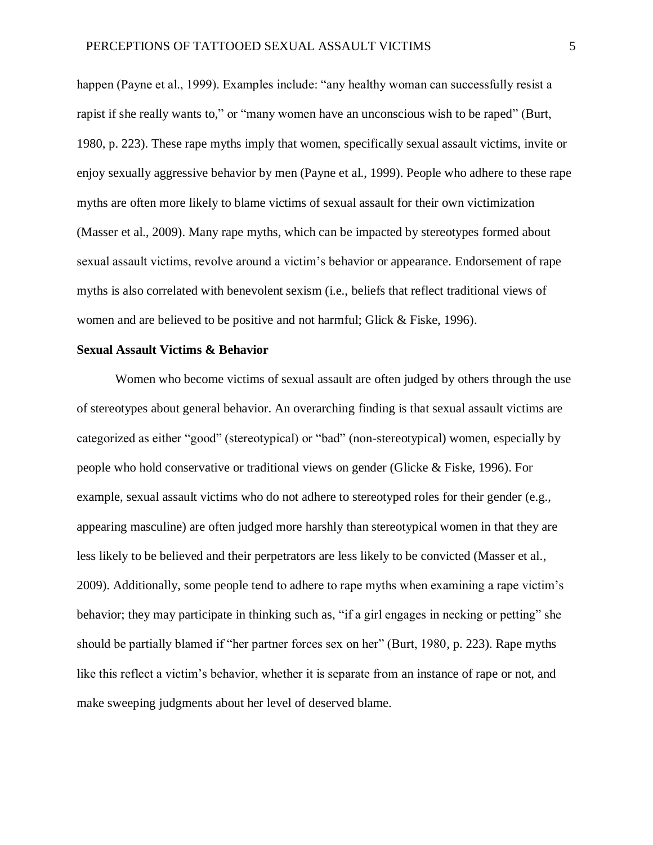happen (Payne et al., 1999). Examples include: "any healthy woman can successfully resist a rapist if she really wants to," or "many women have an unconscious wish to be raped" (Burt, 1980, p. 223). These rape myths imply that women, specifically sexual assault victims, invite or enjoy sexually aggressive behavior by men (Payne et al., 1999). People who adhere to these rape myths are often more likely to blame victims of sexual assault for their own victimization (Masser et al., 2009). Many rape myths, which can be impacted by stereotypes formed about sexual assault victims, revolve around a victim's behavior or appearance. Endorsement of rape myths is also correlated with benevolent sexism (i.e., beliefs that reflect traditional views of women and are believed to be positive and not harmful; Glick & Fiske, 1996).

#### **Sexual Assault Victims & Behavior**

Women who become victims of sexual assault are often judged by others through the use of stereotypes about general behavior. An overarching finding is that sexual assault victims are categorized as either "good" (stereotypical) or "bad" (non-stereotypical) women, especially by people who hold conservative or traditional views on gender (Glicke & Fiske, 1996). For example, sexual assault victims who do not adhere to stereotyped roles for their gender (e.g., appearing masculine) are often judged more harshly than stereotypical women in that they are less likely to be believed and their perpetrators are less likely to be convicted (Masser et al., 2009). Additionally, some people tend to adhere to rape myths when examining a rape victim's behavior; they may participate in thinking such as, "if a girl engages in necking or petting" she should be partially blamed if "her partner forces sex on her" (Burt, 1980, p. 223). Rape myths like this reflect a victim's behavior, whether it is separate from an instance of rape or not, and make sweeping judgments about her level of deserved blame.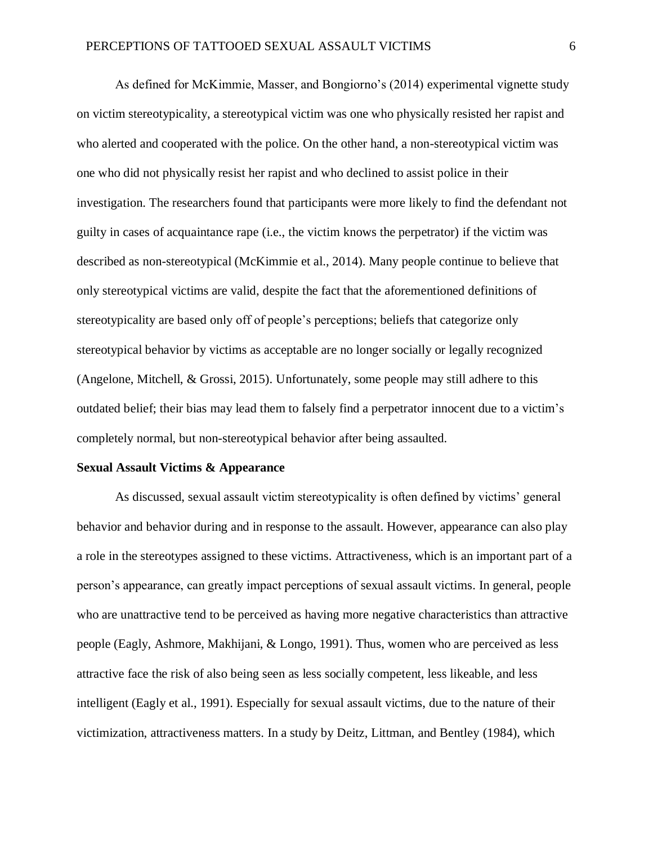As defined for McKimmie, Masser, and Bongiorno's (2014) experimental vignette study on victim stereotypicality, a stereotypical victim was one who physically resisted her rapist and who alerted and cooperated with the police. On the other hand, a non-stereotypical victim was one who did not physically resist her rapist and who declined to assist police in their investigation. The researchers found that participants were more likely to find the defendant not guilty in cases of acquaintance rape (i.e., the victim knows the perpetrator) if the victim was described as non-stereotypical (McKimmie et al., 2014). Many people continue to believe that only stereotypical victims are valid, despite the fact that the aforementioned definitions of stereotypicality are based only off of people's perceptions; beliefs that categorize only stereotypical behavior by victims as acceptable are no longer socially or legally recognized (Angelone, Mitchell, & Grossi, 2015). Unfortunately, some people may still adhere to this outdated belief; their bias may lead them to falsely find a perpetrator innocent due to a victim's completely normal, but non-stereotypical behavior after being assaulted.

#### **Sexual Assault Victims & Appearance**

As discussed, sexual assault victim stereotypicality is often defined by victims' general behavior and behavior during and in response to the assault. However, appearance can also play a role in the stereotypes assigned to these victims. Attractiveness, which is an important part of a person's appearance, can greatly impact perceptions of sexual assault victims. In general, people who are unattractive tend to be perceived as having more negative characteristics than attractive people (Eagly, Ashmore, Makhijani, & Longo, 1991). Thus, women who are perceived as less attractive face the risk of also being seen as less socially competent, less likeable, and less intelligent (Eagly et al., 1991). Especially for sexual assault victims, due to the nature of their victimization, attractiveness matters. In a study by Deitz, Littman, and Bentley (1984), which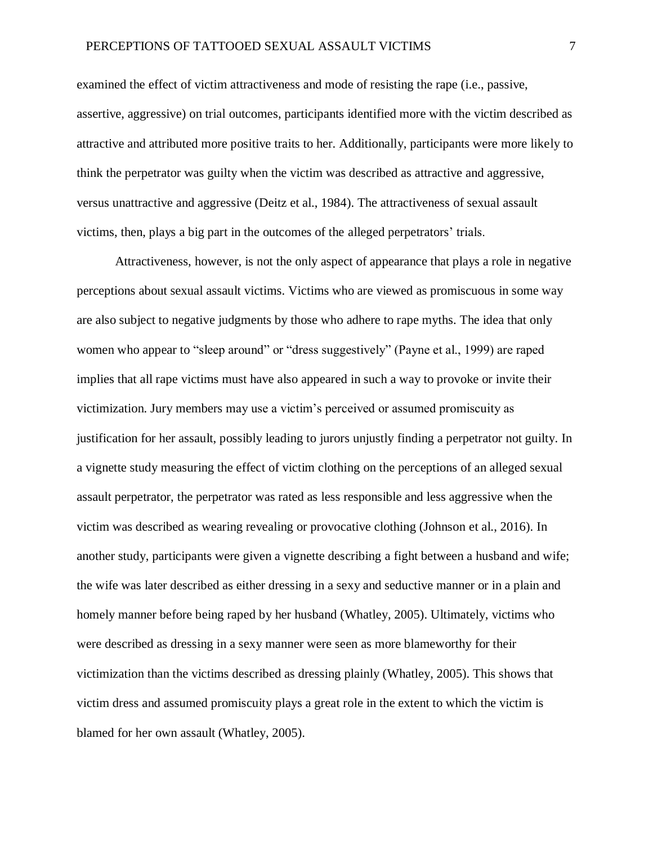examined the effect of victim attractiveness and mode of resisting the rape (i.e., passive, assertive, aggressive) on trial outcomes, participants identified more with the victim described as attractive and attributed more positive traits to her. Additionally, participants were more likely to think the perpetrator was guilty when the victim was described as attractive and aggressive, versus unattractive and aggressive (Deitz et al., 1984). The attractiveness of sexual assault victims, then, plays a big part in the outcomes of the alleged perpetrators' trials.

Attractiveness, however, is not the only aspect of appearance that plays a role in negative perceptions about sexual assault victims. Victims who are viewed as promiscuous in some way are also subject to negative judgments by those who adhere to rape myths. The idea that only women who appear to "sleep around" or "dress suggestively" (Payne et al., 1999) are raped implies that all rape victims must have also appeared in such a way to provoke or invite their victimization. Jury members may use a victim's perceived or assumed promiscuity as justification for her assault, possibly leading to jurors unjustly finding a perpetrator not guilty. In a vignette study measuring the effect of victim clothing on the perceptions of an alleged sexual assault perpetrator, the perpetrator was rated as less responsible and less aggressive when the victim was described as wearing revealing or provocative clothing (Johnson et al., 2016). In another study, participants were given a vignette describing a fight between a husband and wife; the wife was later described as either dressing in a sexy and seductive manner or in a plain and homely manner before being raped by her husband (Whatley, 2005). Ultimately, victims who were described as dressing in a sexy manner were seen as more blameworthy for their victimization than the victims described as dressing plainly (Whatley, 2005). This shows that victim dress and assumed promiscuity plays a great role in the extent to which the victim is blamed for her own assault (Whatley, 2005).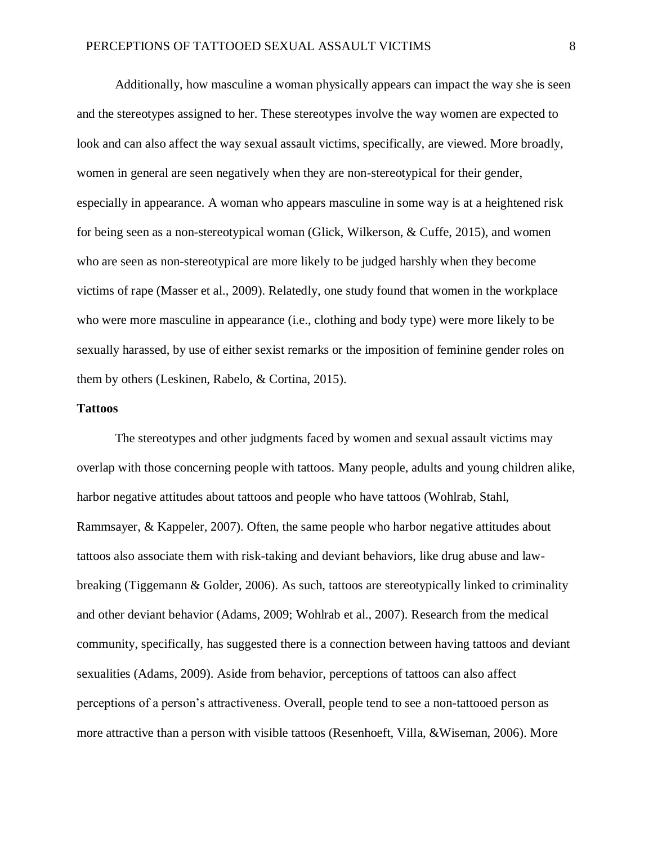Additionally, how masculine a woman physically appears can impact the way she is seen and the stereotypes assigned to her. These stereotypes involve the way women are expected to look and can also affect the way sexual assault victims, specifically, are viewed. More broadly, women in general are seen negatively when they are non-stereotypical for their gender, especially in appearance. A woman who appears masculine in some way is at a heightened risk for being seen as a non-stereotypical woman (Glick, Wilkerson, & Cuffe, 2015), and women who are seen as non-stereotypical are more likely to be judged harshly when they become victims of rape (Masser et al., 2009). Relatedly, one study found that women in the workplace who were more masculine in appearance (i.e., clothing and body type) were more likely to be sexually harassed, by use of either sexist remarks or the imposition of feminine gender roles on them by others (Leskinen, Rabelo, & Cortina, 2015).

#### **Tattoos**

The stereotypes and other judgments faced by women and sexual assault victims may overlap with those concerning people with tattoos. Many people, adults and young children alike, harbor negative attitudes about tattoos and people who have tattoos (Wohlrab, Stahl, Rammsayer, & Kappeler, 2007). Often, the same people who harbor negative attitudes about tattoos also associate them with risk-taking and deviant behaviors, like drug abuse and lawbreaking (Tiggemann & Golder, 2006). As such, tattoos are stereotypically linked to criminality and other deviant behavior (Adams, 2009; Wohlrab et al., 2007). Research from the medical community, specifically, has suggested there is a connection between having tattoos and deviant sexualities (Adams, 2009). Aside from behavior, perceptions of tattoos can also affect perceptions of a person's attractiveness. Overall, people tend to see a non-tattooed person as more attractive than a person with visible tattoos (Resenhoeft, Villa, &Wiseman, 2006). More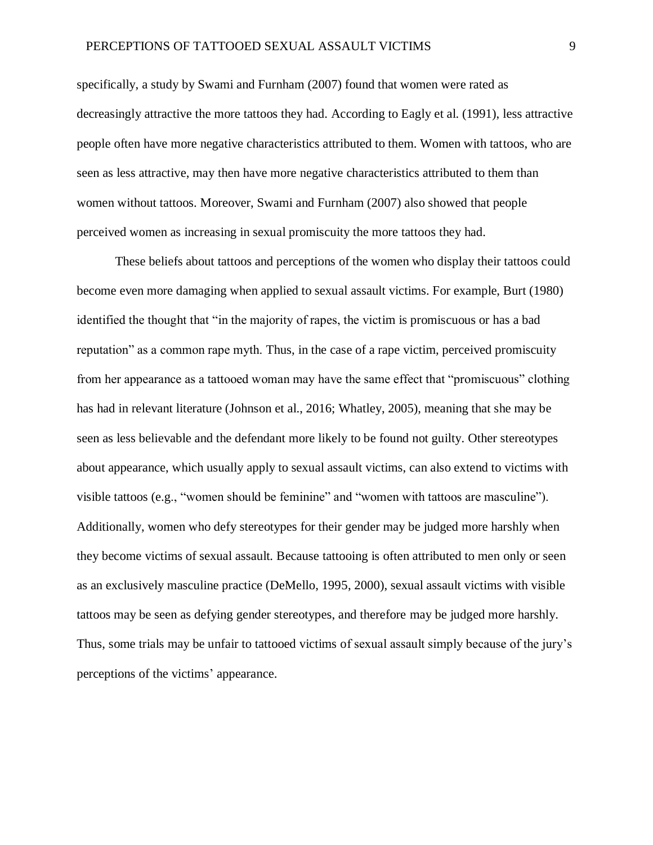specifically, a study by Swami and Furnham (2007) found that women were rated as decreasingly attractive the more tattoos they had. According to Eagly et al. (1991), less attractive people often have more negative characteristics attributed to them. Women with tattoos, who are seen as less attractive, may then have more negative characteristics attributed to them than women without tattoos. Moreover, Swami and Furnham (2007) also showed that people perceived women as increasing in sexual promiscuity the more tattoos they had.

These beliefs about tattoos and perceptions of the women who display their tattoos could become even more damaging when applied to sexual assault victims. For example, Burt (1980) identified the thought that "in the majority of rapes, the victim is promiscuous or has a bad reputation" as a common rape myth. Thus, in the case of a rape victim, perceived promiscuity from her appearance as a tattooed woman may have the same effect that "promiscuous" clothing has had in relevant literature (Johnson et al., 2016; Whatley, 2005), meaning that she may be seen as less believable and the defendant more likely to be found not guilty. Other stereotypes about appearance, which usually apply to sexual assault victims, can also extend to victims with visible tattoos (e.g., "women should be feminine" and "women with tattoos are masculine"). Additionally, women who defy stereotypes for their gender may be judged more harshly when they become victims of sexual assault. Because tattooing is often attributed to men only or seen as an exclusively masculine practice (DeMello, 1995, 2000), sexual assault victims with visible tattoos may be seen as defying gender stereotypes, and therefore may be judged more harshly. Thus, some trials may be unfair to tattooed victims of sexual assault simply because of the jury's perceptions of the victims' appearance.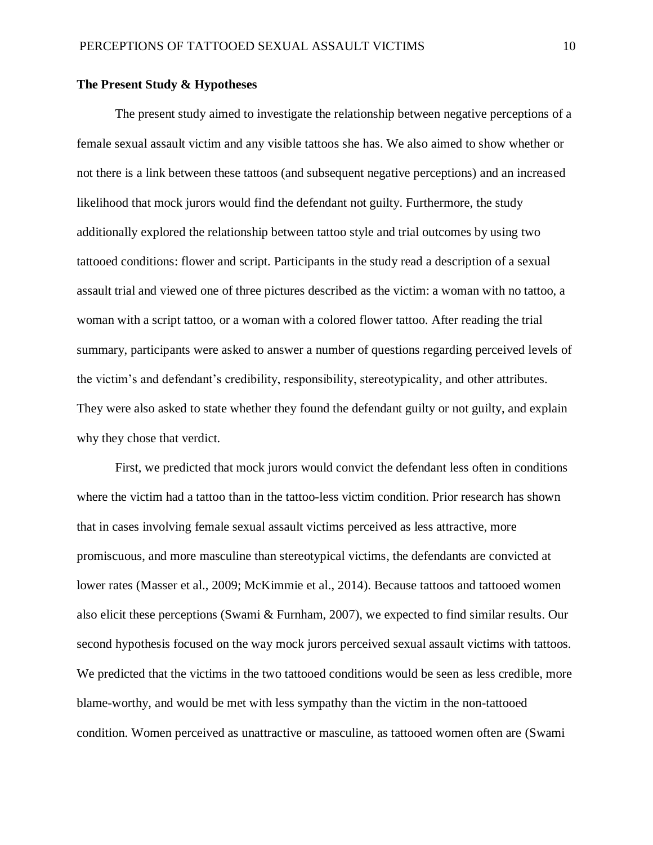#### **The Present Study & Hypotheses**

The present study aimed to investigate the relationship between negative perceptions of a female sexual assault victim and any visible tattoos she has. We also aimed to show whether or not there is a link between these tattoos (and subsequent negative perceptions) and an increased likelihood that mock jurors would find the defendant not guilty. Furthermore, the study additionally explored the relationship between tattoo style and trial outcomes by using two tattooed conditions: flower and script. Participants in the study read a description of a sexual assault trial and viewed one of three pictures described as the victim: a woman with no tattoo, a woman with a script tattoo, or a woman with a colored flower tattoo. After reading the trial summary, participants were asked to answer a number of questions regarding perceived levels of the victim's and defendant's credibility, responsibility, stereotypicality, and other attributes. They were also asked to state whether they found the defendant guilty or not guilty, and explain why they chose that verdict.

First, we predicted that mock jurors would convict the defendant less often in conditions where the victim had a tattoo than in the tattoo-less victim condition. Prior research has shown that in cases involving female sexual assault victims perceived as less attractive, more promiscuous, and more masculine than stereotypical victims, the defendants are convicted at lower rates (Masser et al., 2009; McKimmie et al., 2014). Because tattoos and tattooed women also elicit these perceptions (Swami & Furnham, 2007), we expected to find similar results. Our second hypothesis focused on the way mock jurors perceived sexual assault victims with tattoos. We predicted that the victims in the two tattooed conditions would be seen as less credible, more blame-worthy, and would be met with less sympathy than the victim in the non-tattooed condition. Women perceived as unattractive or masculine, as tattooed women often are (Swami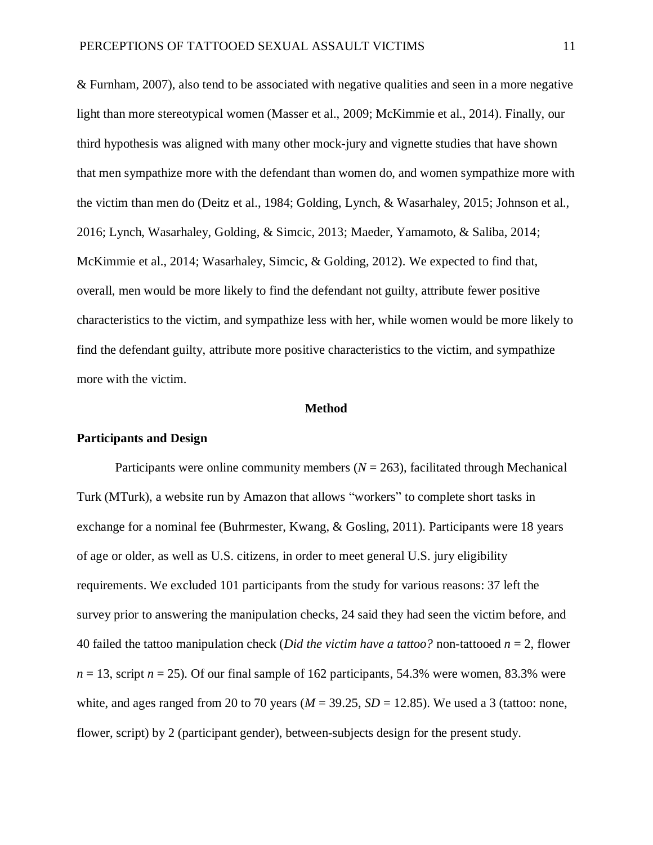& Furnham, 2007), also tend to be associated with negative qualities and seen in a more negative light than more stereotypical women (Masser et al., 2009; McKimmie et al., 2014). Finally, our third hypothesis was aligned with many other mock-jury and vignette studies that have shown that men sympathize more with the defendant than women do, and women sympathize more with the victim than men do (Deitz et al., 1984; Golding, Lynch, & Wasarhaley, 2015; Johnson et al., 2016; Lynch, Wasarhaley, Golding, & Simcic, 2013; Maeder, Yamamoto, & Saliba, 2014; McKimmie et al., 2014; Wasarhaley, Simcic, & Golding, 2012). We expected to find that, overall, men would be more likely to find the defendant not guilty, attribute fewer positive characteristics to the victim, and sympathize less with her, while women would be more likely to find the defendant guilty, attribute more positive characteristics to the victim, and sympathize more with the victim.

#### **Method**

#### **Participants and Design**

Participants were online community members  $(N = 263)$ , facilitated through Mechanical Turk (MTurk), a website run by Amazon that allows "workers" to complete short tasks in exchange for a nominal fee (Buhrmester, Kwang, & Gosling, 2011). Participants were 18 years of age or older, as well as U.S. citizens, in order to meet general U.S. jury eligibility requirements. We excluded 101 participants from the study for various reasons: 37 left the survey prior to answering the manipulation checks, 24 said they had seen the victim before, and 40 failed the tattoo manipulation check (*Did the victim have a tattoo?* non-tattooed *n* = 2, flower  $n = 13$ , script  $n = 25$ ). Of our final sample of 162 participants, 54.3% were women, 83.3% were white, and ages ranged from 20 to 70 years ( $M = 39.25$ ,  $SD = 12.85$ ). We used a 3 (tattoo: none, flower, script) by 2 (participant gender), between-subjects design for the present study.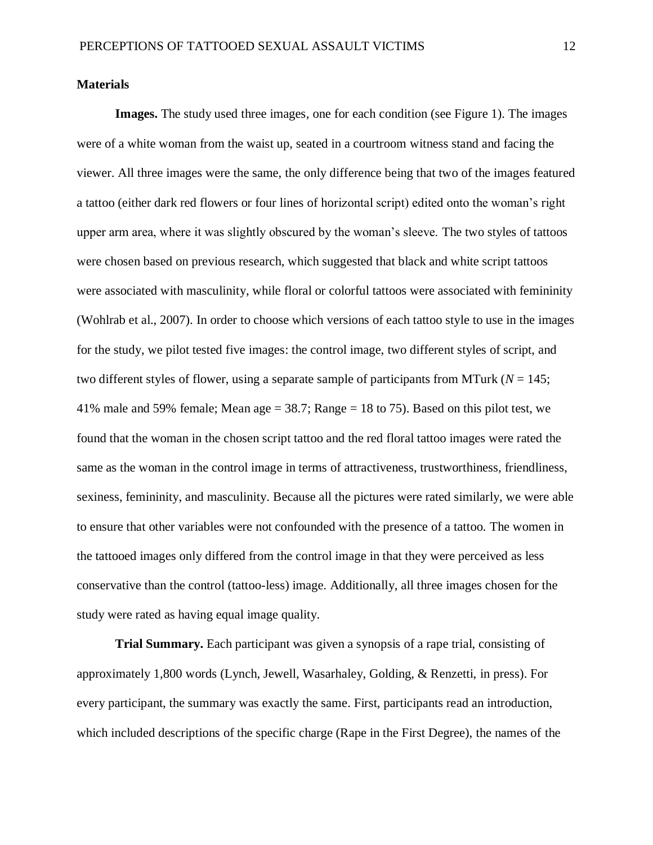#### **Materials**

**Images.** The study used three images, one for each condition (see Figure 1). The images were of a white woman from the waist up, seated in a courtroom witness stand and facing the viewer. All three images were the same, the only difference being that two of the images featured a tattoo (either dark red flowers or four lines of horizontal script) edited onto the woman's right upper arm area, where it was slightly obscured by the woman's sleeve. The two styles of tattoos were chosen based on previous research, which suggested that black and white script tattoos were associated with masculinity, while floral or colorful tattoos were associated with femininity (Wohlrab et al., 2007). In order to choose which versions of each tattoo style to use in the images for the study, we pilot tested five images: the control image, two different styles of script, and two different styles of flower, using a separate sample of participants from MTurk ( $N = 145$ ; 41% male and 59% female; Mean age  $= 38.7$ ; Range  $= 18$  to 75). Based on this pilot test, we found that the woman in the chosen script tattoo and the red floral tattoo images were rated the same as the woman in the control image in terms of attractiveness, trustworthiness, friendliness, sexiness, femininity, and masculinity. Because all the pictures were rated similarly, we were able to ensure that other variables were not confounded with the presence of a tattoo. The women in the tattooed images only differed from the control image in that they were perceived as less conservative than the control (tattoo-less) image. Additionally, all three images chosen for the study were rated as having equal image quality.

**Trial Summary.** Each participant was given a synopsis of a rape trial, consisting of approximately 1,800 words (Lynch, Jewell, Wasarhaley, Golding, & Renzetti, in press). For every participant, the summary was exactly the same. First, participants read an introduction, which included descriptions of the specific charge (Rape in the First Degree), the names of the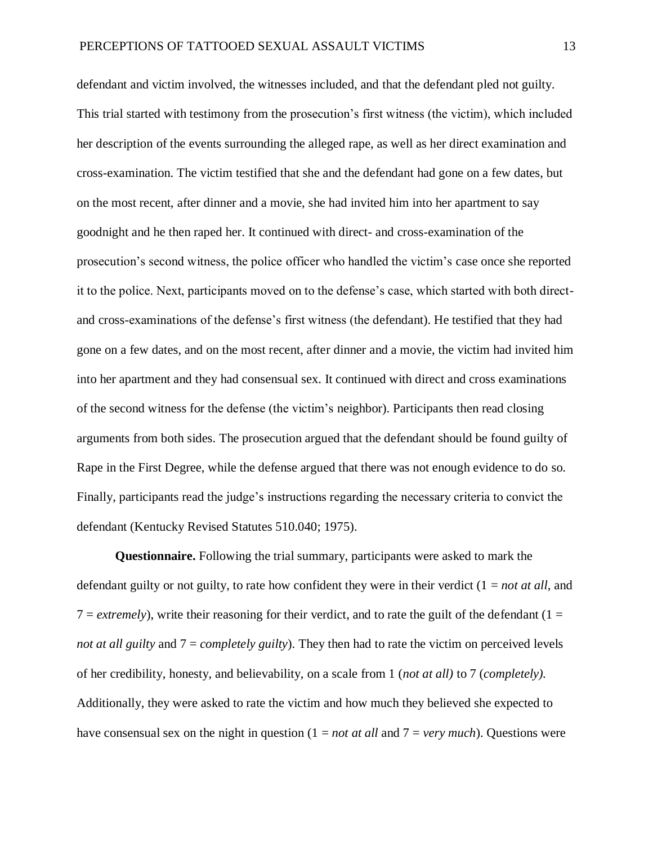defendant and victim involved, the witnesses included, and that the defendant pled not guilty. This trial started with testimony from the prosecution's first witness (the victim), which included her description of the events surrounding the alleged rape, as well as her direct examination and cross-examination. The victim testified that she and the defendant had gone on a few dates, but on the most recent, after dinner and a movie, she had invited him into her apartment to say goodnight and he then raped her. It continued with direct- and cross-examination of the prosecution's second witness, the police officer who handled the victim's case once she reported it to the police. Next, participants moved on to the defense's case, which started with both directand cross-examinations of the defense's first witness (the defendant). He testified that they had gone on a few dates, and on the most recent, after dinner and a movie, the victim had invited him into her apartment and they had consensual sex. It continued with direct and cross examinations of the second witness for the defense (the victim's neighbor). Participants then read closing arguments from both sides. The prosecution argued that the defendant should be found guilty of Rape in the First Degree, while the defense argued that there was not enough evidence to do so. Finally, participants read the judge's instructions regarding the necessary criteria to convict the defendant (Kentucky Revised Statutes 510.040; 1975).

**Questionnaire.** Following the trial summary, participants were asked to mark the defendant guilty or not guilty, to rate how confident they were in their verdict (1 = *not at all*, and  $7 =$  *extremely*), write their reasoning for their verdict, and to rate the guilt of the defendant (1 = *not at all guilty* and 7 = *completely guilty*). They then had to rate the victim on perceived levels of her credibility, honesty, and believability, on a scale from 1 (*not at all)* to 7 (*completely).*  Additionally, they were asked to rate the victim and how much they believed she expected to have consensual sex on the night in question (1 = *not at all* and 7 = *very much*). Questions were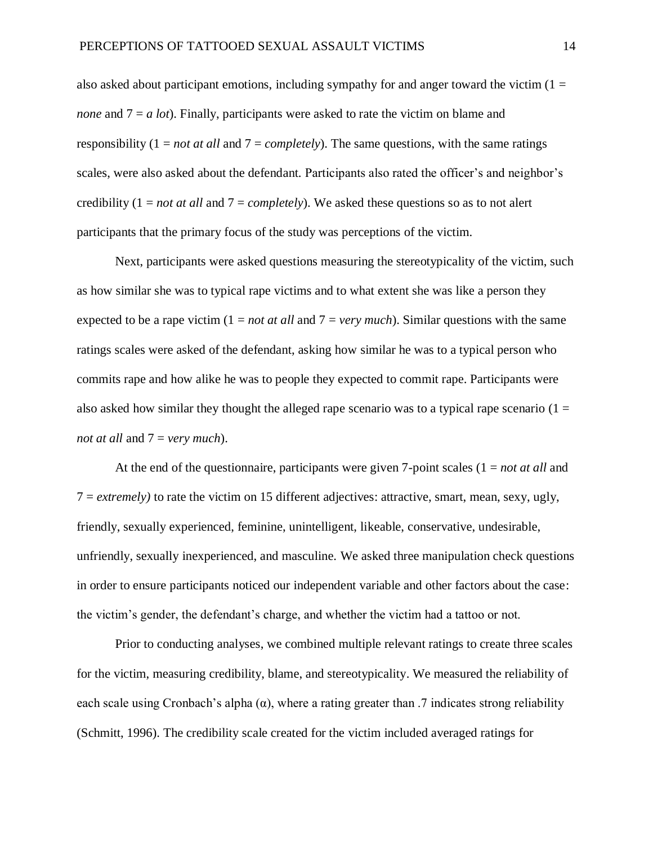also asked about participant emotions, including sympathy for and anger toward the victim  $(1 =$ *none* and  $7 = a$  *lot*). Finally, participants were asked to rate the victim on blame and responsibility (1 = *not at all* and 7 = *completely*). The same questions, with the same ratings scales, were also asked about the defendant. Participants also rated the officer's and neighbor's credibility (1 = *not at all* and 7 = *completely*). We asked these questions so as to not alert participants that the primary focus of the study was perceptions of the victim.

Next, participants were asked questions measuring the stereotypicality of the victim, such as how similar she was to typical rape victims and to what extent she was like a person they expected to be a rape victim (1 = *not at all* and 7 = *very much*). Similar questions with the same ratings scales were asked of the defendant, asking how similar he was to a typical person who commits rape and how alike he was to people they expected to commit rape. Participants were also asked how similar they thought the alleged rape scenario was to a typical rape scenario  $(1 =$ *not at all* and 7 = *very much*).

At the end of the questionnaire, participants were given 7-point scales  $(1 = not at all and)$ 7 = *extremely)* to rate the victim on 15 different adjectives: attractive, smart, mean, sexy, ugly, friendly, sexually experienced, feminine, unintelligent, likeable, conservative, undesirable, unfriendly, sexually inexperienced, and masculine. We asked three manipulation check questions in order to ensure participants noticed our independent variable and other factors about the case: the victim's gender, the defendant's charge, and whether the victim had a tattoo or not.

Prior to conducting analyses, we combined multiple relevant ratings to create three scales for the victim, measuring credibility, blame, and stereotypicality. We measured the reliability of each scale using Cronbach's alpha  $(\alpha)$ , where a rating greater than .7 indicates strong reliability (Schmitt, 1996). The credibility scale created for the victim included averaged ratings for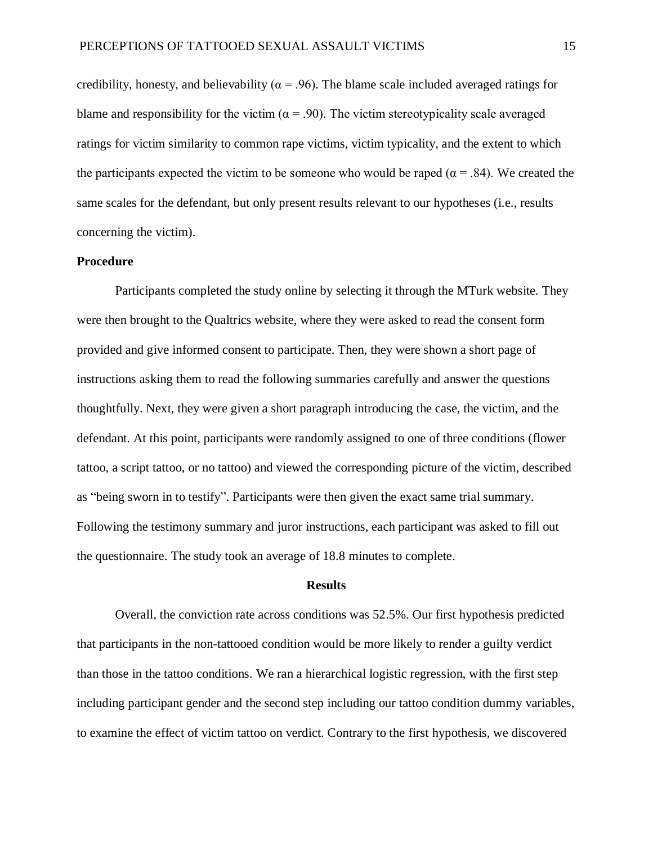credibility, honesty, and believability ( $\alpha$  = .96). The blame scale included averaged ratings for blame and responsibility for the victim ( $\alpha$  = .90). The victim stereotypicality scale averaged ratings for victim similarity to common rape victims, victim typicality, and the extent to which the participants expected the victim to be someone who would be raped ( $\alpha$  = .84). We created the same scales for the defendant, but only present results relevant to our hypotheses (i.e., results concerning the victim).

#### **Procedure**

Participants completed the study online by selecting it through the MTurk website. They were then brought to the Qualtrics website, where they were asked to read the consent form provided and give informed consent to participate. Then, they were shown a short page of instructions asking them to read the following summaries carefully and answer the questions thoughtfully. Next, they were given a short paragraph introducing the case, the victim, and the defendant. At this point, participants were randomly assigned to one of three conditions (flower tattoo, a script tattoo, or no tattoo) and viewed the corresponding picture of the victim, described as "being sworn in to testify". Participants were then given the exact same trial summary. Following the testimony summary and juror instructions, each participant was asked to fill out the questionnaire. The study took an average of 18.8 minutes to complete.

#### **Results**

Overall, the conviction rate across conditions was 52.5%. Our first hypothesis predicted that participants in the non-tattooed condition would be more likely to render a guilty verdict than those in the tattoo conditions. We ran a hierarchical logistic regression, with the first step including participant gender and the second step including our tattoo condition dummy variables, to examine the effect of victim tattoo on verdict. Contrary to the first hypothesis, we discovered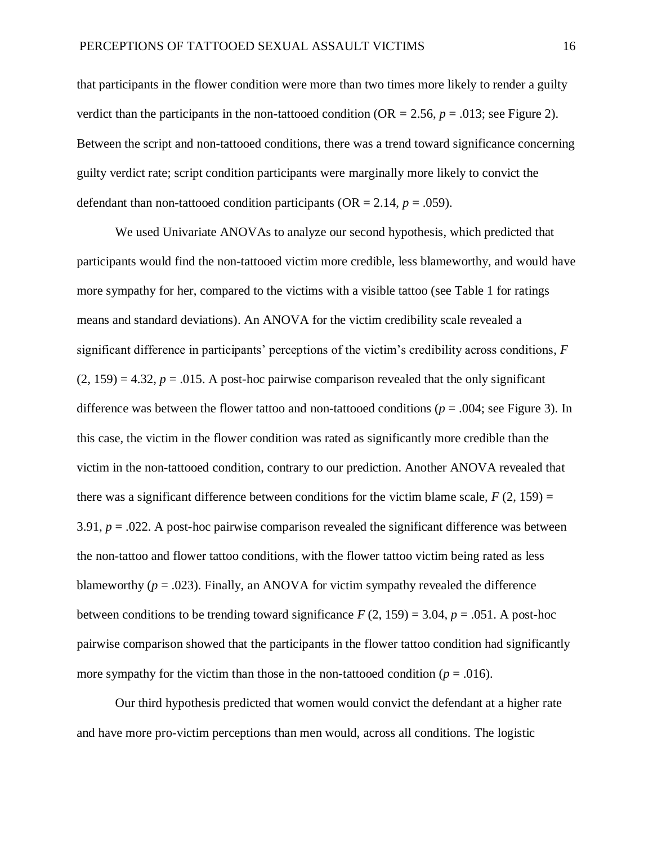that participants in the flower condition were more than two times more likely to render a guilty verdict than the participants in the non-tattooed condition ( $OR = 2.56$ ,  $p = .013$ ; see Figure 2). Between the script and non-tattooed conditions, there was a trend toward significance concerning guilty verdict rate; script condition participants were marginally more likely to convict the defendant than non-tattooed condition participants ( $OR = 2.14$ ,  $p = .059$ ).

We used Univariate ANOVAs to analyze our second hypothesis, which predicted that participants would find the non-tattooed victim more credible, less blameworthy, and would have more sympathy for her, compared to the victims with a visible tattoo (see Table 1 for ratings means and standard deviations). An ANOVA for the victim credibility scale revealed a significant difference in participants' perceptions of the victim's credibility across conditions, *F*  $(2, 159) = 4.32$ ,  $p = .015$ . A post-hoc pairwise comparison revealed that the only significant difference was between the flower tattoo and non-tattooed conditions (*p* = .004; see Figure 3). In this case, the victim in the flower condition was rated as significantly more credible than the victim in the non-tattooed condition, contrary to our prediction. Another ANOVA revealed that there was a significant difference between conditions for the victim blame scale,  $F(2, 159) =$ 3.91,  $p = 0.022$ . A post-hoc pairwise comparison revealed the significant difference was between the non-tattoo and flower tattoo conditions, with the flower tattoo victim being rated as less blameworthy  $(p = .023)$ . Finally, an ANOVA for victim sympathy revealed the difference between conditions to be trending toward significance  $F(2, 159) = 3.04$ ,  $p = .051$ . A post-hoc pairwise comparison showed that the participants in the flower tattoo condition had significantly more sympathy for the victim than those in the non-tattooed condition  $(p = .016)$ .

Our third hypothesis predicted that women would convict the defendant at a higher rate and have more pro-victim perceptions than men would, across all conditions. The logistic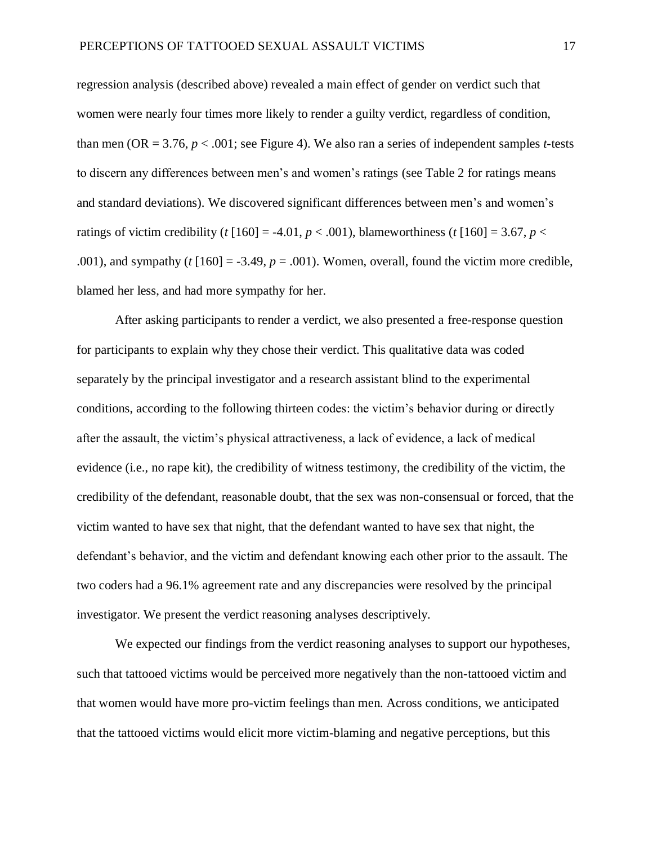regression analysis (described above) revealed a main effect of gender on verdict such that women were nearly four times more likely to render a guilty verdict, regardless of condition, than men (OR = 3.76,  $p < .001$ ; see Figure 4). We also ran a series of independent samples *t*-tests to discern any differences between men's and women's ratings (see Table 2 for ratings means and standard deviations). We discovered significant differences between men's and women's ratings of victim credibility (*t* [160] = -4.01,  $p < .001$ ), blameworthiness (*t* [160] = 3.67,  $p <$ .001), and sympathy ( $t$   $[160] = -3.49$ ,  $p = .001$ ). Women, overall, found the victim more credible, blamed her less, and had more sympathy for her.

After asking participants to render a verdict, we also presented a free-response question for participants to explain why they chose their verdict. This qualitative data was coded separately by the principal investigator and a research assistant blind to the experimental conditions, according to the following thirteen codes: the victim's behavior during or directly after the assault, the victim's physical attractiveness, a lack of evidence, a lack of medical evidence (i.e., no rape kit), the credibility of witness testimony, the credibility of the victim, the credibility of the defendant, reasonable doubt, that the sex was non-consensual or forced, that the victim wanted to have sex that night, that the defendant wanted to have sex that night, the defendant's behavior, and the victim and defendant knowing each other prior to the assault. The two coders had a 96.1% agreement rate and any discrepancies were resolved by the principal investigator. We present the verdict reasoning analyses descriptively.

We expected our findings from the verdict reasoning analyses to support our hypotheses, such that tattooed victims would be perceived more negatively than the non-tattooed victim and that women would have more pro-victim feelings than men. Across conditions, we anticipated that the tattooed victims would elicit more victim-blaming and negative perceptions, but this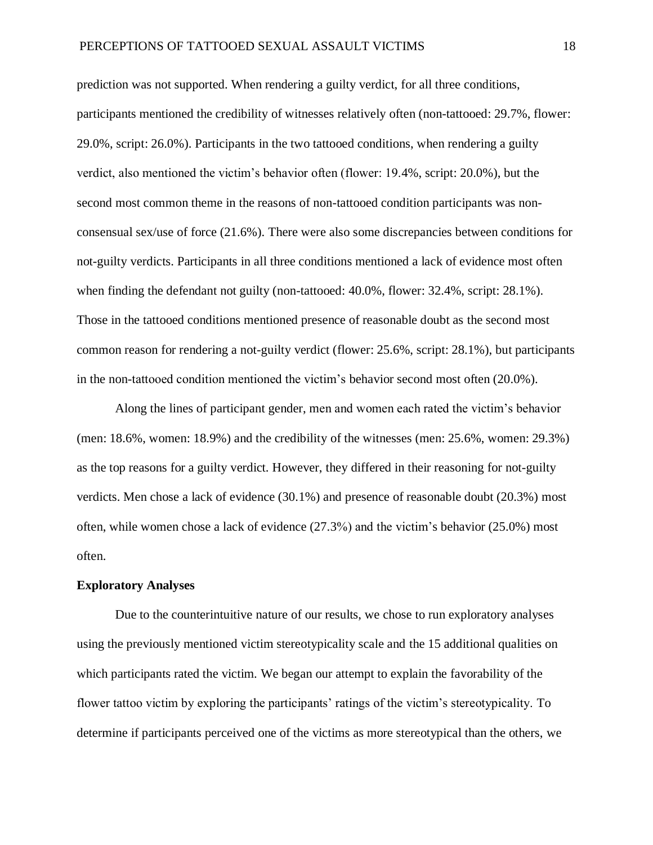prediction was not supported. When rendering a guilty verdict, for all three conditions, participants mentioned the credibility of witnesses relatively often (non-tattooed: 29.7%, flower: 29.0%, script: 26.0%). Participants in the two tattooed conditions, when rendering a guilty verdict, also mentioned the victim's behavior often (flower: 19.4%, script: 20.0%), but the second most common theme in the reasons of non-tattooed condition participants was nonconsensual sex/use of force (21.6%). There were also some discrepancies between conditions for not-guilty verdicts. Participants in all three conditions mentioned a lack of evidence most often when finding the defendant not guilty (non-tattooed: 40.0%, flower: 32.4%, script: 28.1%). Those in the tattooed conditions mentioned presence of reasonable doubt as the second most common reason for rendering a not-guilty verdict (flower: 25.6%, script: 28.1%), but participants in the non-tattooed condition mentioned the victim's behavior second most often (20.0%).

Along the lines of participant gender, men and women each rated the victim's behavior (men: 18.6%, women: 18.9%) and the credibility of the witnesses (men: 25.6%, women: 29.3%) as the top reasons for a guilty verdict. However, they differed in their reasoning for not-guilty verdicts. Men chose a lack of evidence (30.1%) and presence of reasonable doubt (20.3%) most often, while women chose a lack of evidence (27.3%) and the victim's behavior (25.0%) most often.

### **Exploratory Analyses**

Due to the counterintuitive nature of our results, we chose to run exploratory analyses using the previously mentioned victim stereotypicality scale and the 15 additional qualities on which participants rated the victim. We began our attempt to explain the favorability of the flower tattoo victim by exploring the participants' ratings of the victim's stereotypicality. To determine if participants perceived one of the victims as more stereotypical than the others, we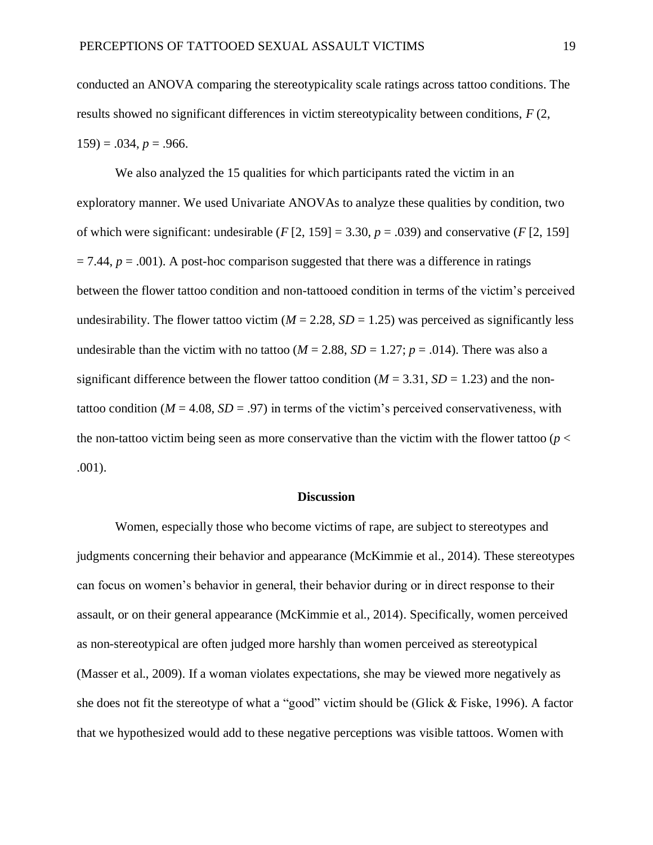conducted an ANOVA comparing the stereotypicality scale ratings across tattoo conditions. The results showed no significant differences in victim stereotypicality between conditions, *F* (2,  $159$ ) = .034,  $p = .966$ .

We also analyzed the 15 qualities for which participants rated the victim in an exploratory manner. We used Univariate ANOVAs to analyze these qualities by condition, two of which were significant: undesirable  $(F [2, 159] = 3.30, p = .039)$  and conservative  $(F [2, 159]$  $= 7.44$ ,  $p = .001$ ). A post-hoc comparison suggested that there was a difference in ratings between the flower tattoo condition and non-tattooed condition in terms of the victim's perceived undesirability. The flower tattoo victim ( $M = 2.28$ ,  $SD = 1.25$ ) was perceived as significantly less undesirable than the victim with no tattoo ( $M = 2.88$ ,  $SD = 1.27$ ;  $p = .014$ ). There was also a significant difference between the flower tattoo condition ( $M = 3.31$ ,  $SD = 1.23$ ) and the nontattoo condition ( $M = 4.08$ ,  $SD = .97$ ) in terms of the victim's perceived conservativeness, with the non-tattoo victim being seen as more conservative than the victim with the flower tattoo ( $p <$ .001).

#### **Discussion**

Women, especially those who become victims of rape, are subject to stereotypes and judgments concerning their behavior and appearance (McKimmie et al., 2014). These stereotypes can focus on women's behavior in general, their behavior during or in direct response to their assault, or on their general appearance (McKimmie et al., 2014). Specifically, women perceived as non-stereotypical are often judged more harshly than women perceived as stereotypical (Masser et al., 2009). If a woman violates expectations, she may be viewed more negatively as she does not fit the stereotype of what a "good" victim should be (Glick & Fiske, 1996). A factor that we hypothesized would add to these negative perceptions was visible tattoos. Women with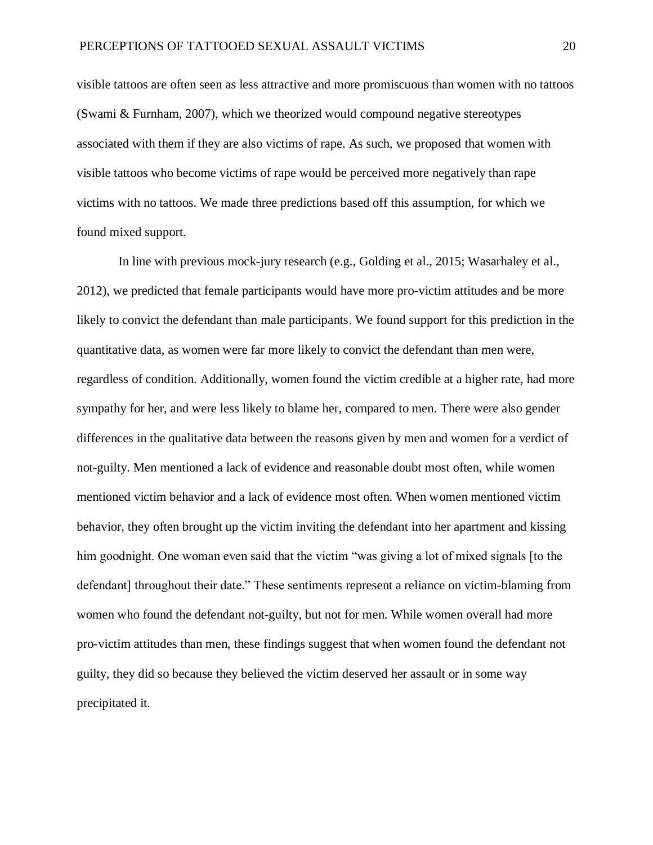visible tattoos are often seen as less attractive and more promiscuous than women with no tattoos (Swami & Furnham, 2007), which we theorized would compound negative stereotypes associated with them if they are also victims of rape. As such, we proposed that women with visible tattoos who become victims of rape would be perceived more negatively than rape victims with no tattoos. We made three predictions based off this assumption, for which we found mixed support.

In line with previous mock-jury research (e.g., Golding et al., 2015; Wasarhaley et al., 2012), we predicted that female participants would have more pro-victim attitudes and be more likely to convict the defendant than male participants. We found support for this prediction in the quantitative data, as women were far more likely to convict the defendant than men were, regardless of condition. Additionally, women found the victim credible at a higher rate, had more sympathy for her, and were less likely to blame her, compared to men. There were also gender differences in the qualitative data between the reasons given by men and women for a verdict of not-guilty. Men mentioned a lack of evidence and reasonable doubt most often, while women mentioned victim behavior and a lack of evidence most often. When women mentioned victim behavior, they often brought up the victim inviting the defendant into her apartment and kissing him goodnight. One woman even said that the victim "was giving a lot of mixed signals [to the defendant] throughout their date." These sentiments represent a reliance on victim-blaming from women who found the defendant not-guilty, but not for men. While women overall had more pro-victim attitudes than men, these findings suggest that when women found the defendant not guilty, they did so because they believed the victim deserved her assault or in some way precipitated it.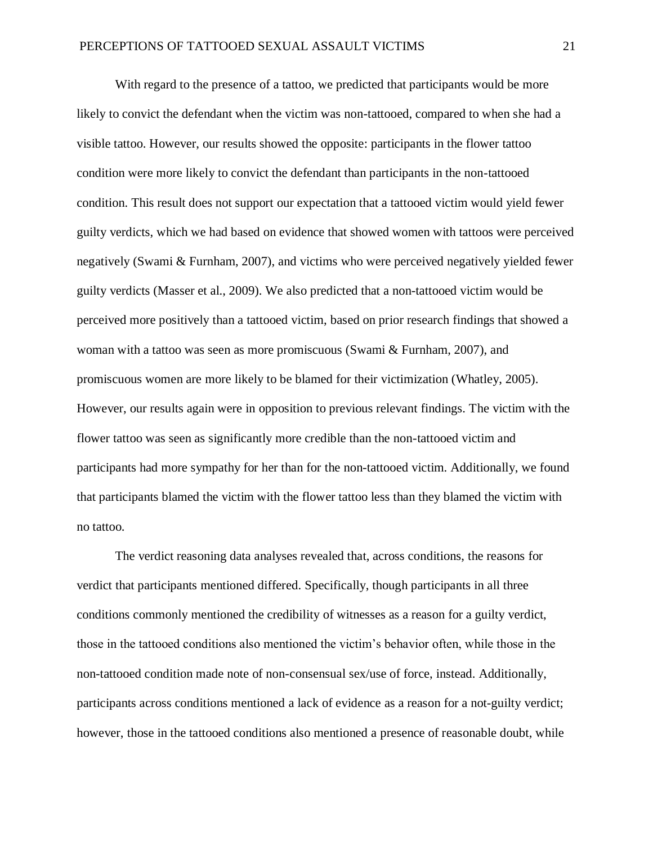With regard to the presence of a tattoo, we predicted that participants would be more likely to convict the defendant when the victim was non-tattooed, compared to when she had a visible tattoo. However, our results showed the opposite: participants in the flower tattoo condition were more likely to convict the defendant than participants in the non-tattooed condition. This result does not support our expectation that a tattooed victim would yield fewer guilty verdicts, which we had based on evidence that showed women with tattoos were perceived negatively (Swami & Furnham, 2007), and victims who were perceived negatively yielded fewer guilty verdicts (Masser et al., 2009). We also predicted that a non-tattooed victim would be perceived more positively than a tattooed victim, based on prior research findings that showed a woman with a tattoo was seen as more promiscuous (Swami & Furnham, 2007), and promiscuous women are more likely to be blamed for their victimization (Whatley, 2005). However, our results again were in opposition to previous relevant findings. The victim with the flower tattoo was seen as significantly more credible than the non-tattooed victim and participants had more sympathy for her than for the non-tattooed victim. Additionally, we found that participants blamed the victim with the flower tattoo less than they blamed the victim with no tattoo.

The verdict reasoning data analyses revealed that, across conditions, the reasons for verdict that participants mentioned differed. Specifically, though participants in all three conditions commonly mentioned the credibility of witnesses as a reason for a guilty verdict, those in the tattooed conditions also mentioned the victim's behavior often, while those in the non-tattooed condition made note of non-consensual sex/use of force, instead. Additionally, participants across conditions mentioned a lack of evidence as a reason for a not-guilty verdict; however, those in the tattooed conditions also mentioned a presence of reasonable doubt, while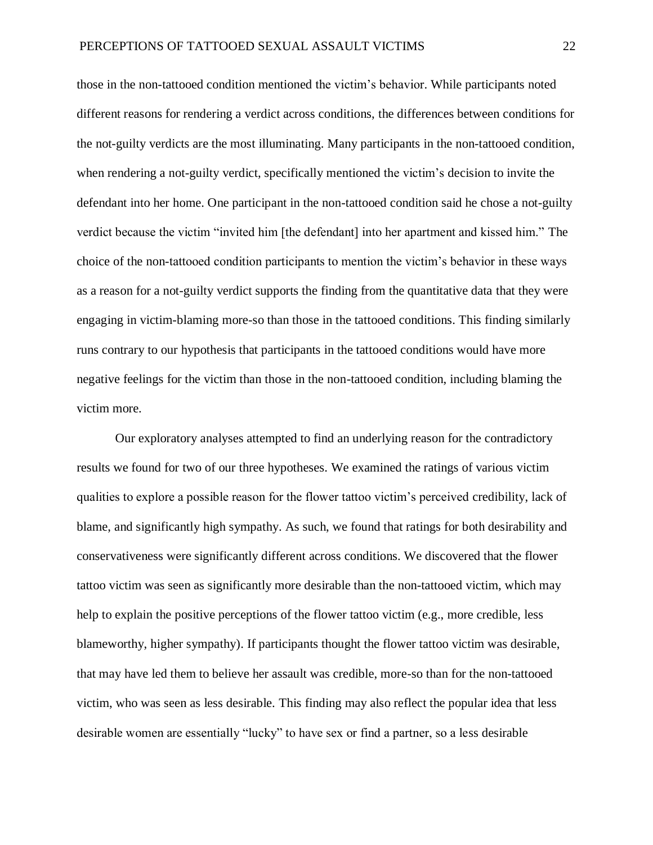those in the non-tattooed condition mentioned the victim's behavior. While participants noted different reasons for rendering a verdict across conditions, the differences between conditions for the not-guilty verdicts are the most illuminating. Many participants in the non-tattooed condition, when rendering a not-guilty verdict, specifically mentioned the victim's decision to invite the defendant into her home. One participant in the non-tattooed condition said he chose a not-guilty verdict because the victim "invited him [the defendant] into her apartment and kissed him." The choice of the non-tattooed condition participants to mention the victim's behavior in these ways as a reason for a not-guilty verdict supports the finding from the quantitative data that they were engaging in victim-blaming more-so than those in the tattooed conditions. This finding similarly runs contrary to our hypothesis that participants in the tattooed conditions would have more negative feelings for the victim than those in the non-tattooed condition, including blaming the victim more.

Our exploratory analyses attempted to find an underlying reason for the contradictory results we found for two of our three hypotheses. We examined the ratings of various victim qualities to explore a possible reason for the flower tattoo victim's perceived credibility, lack of blame, and significantly high sympathy. As such, we found that ratings for both desirability and conservativeness were significantly different across conditions. We discovered that the flower tattoo victim was seen as significantly more desirable than the non-tattooed victim, which may help to explain the positive perceptions of the flower tattoo victim (e.g., more credible, less blameworthy, higher sympathy). If participants thought the flower tattoo victim was desirable, that may have led them to believe her assault was credible, more-so than for the non-tattooed victim, who was seen as less desirable. This finding may also reflect the popular idea that less desirable women are essentially "lucky" to have sex or find a partner, so a less desirable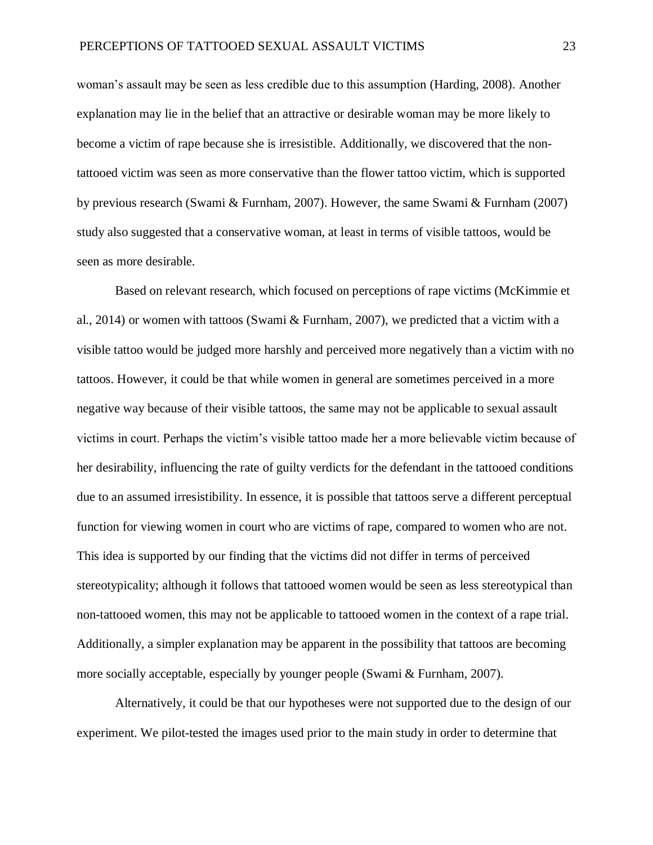woman's assault may be seen as less credible due to this assumption (Harding, 2008). Another explanation may lie in the belief that an attractive or desirable woman may be more likely to become a victim of rape because she is irresistible. Additionally, we discovered that the nontattooed victim was seen as more conservative than the flower tattoo victim, which is supported by previous research (Swami & Furnham, 2007). However, the same Swami & Furnham (2007) study also suggested that a conservative woman, at least in terms of visible tattoos, would be seen as more desirable.

Based on relevant research, which focused on perceptions of rape victims (McKimmie et al., 2014) or women with tattoos (Swami & Furnham, 2007), we predicted that a victim with a visible tattoo would be judged more harshly and perceived more negatively than a victim with no tattoos. However, it could be that while women in general are sometimes perceived in a more negative way because of their visible tattoos, the same may not be applicable to sexual assault victims in court. Perhaps the victim's visible tattoo made her a more believable victim because of her desirability, influencing the rate of guilty verdicts for the defendant in the tattooed conditions due to an assumed irresistibility. In essence, it is possible that tattoos serve a different perceptual function for viewing women in court who are victims of rape, compared to women who are not. This idea is supported by our finding that the victims did not differ in terms of perceived stereotypicality; although it follows that tattooed women would be seen as less stereotypical than non-tattooed women, this may not be applicable to tattooed women in the context of a rape trial. Additionally, a simpler explanation may be apparent in the possibility that tattoos are becoming more socially acceptable, especially by younger people (Swami & Furnham, 2007).

Alternatively, it could be that our hypotheses were not supported due to the design of our experiment. We pilot-tested the images used prior to the main study in order to determine that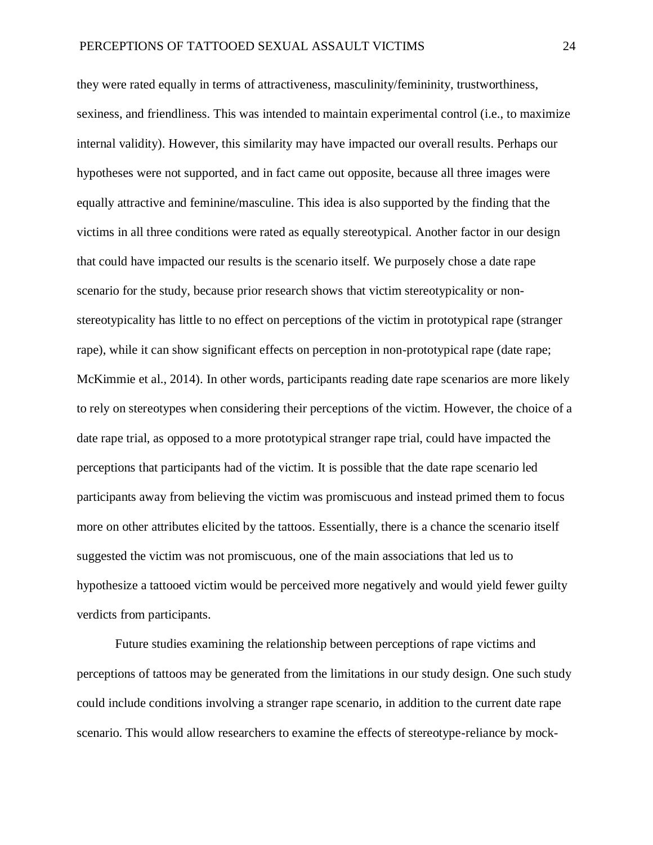they were rated equally in terms of attractiveness, masculinity/femininity, trustworthiness, sexiness, and friendliness. This was intended to maintain experimental control (i.e., to maximize internal validity). However, this similarity may have impacted our overall results. Perhaps our hypotheses were not supported, and in fact came out opposite, because all three images were equally attractive and feminine/masculine. This idea is also supported by the finding that the victims in all three conditions were rated as equally stereotypical. Another factor in our design that could have impacted our results is the scenario itself. We purposely chose a date rape scenario for the study, because prior research shows that victim stereotypicality or nonstereotypicality has little to no effect on perceptions of the victim in prototypical rape (stranger rape), while it can show significant effects on perception in non-prototypical rape (date rape; McKimmie et al., 2014). In other words, participants reading date rape scenarios are more likely to rely on stereotypes when considering their perceptions of the victim. However, the choice of a date rape trial, as opposed to a more prototypical stranger rape trial, could have impacted the perceptions that participants had of the victim. It is possible that the date rape scenario led participants away from believing the victim was promiscuous and instead primed them to focus more on other attributes elicited by the tattoos. Essentially, there is a chance the scenario itself suggested the victim was not promiscuous, one of the main associations that led us to hypothesize a tattooed victim would be perceived more negatively and would yield fewer guilty verdicts from participants.

Future studies examining the relationship between perceptions of rape victims and perceptions of tattoos may be generated from the limitations in our study design. One such study could include conditions involving a stranger rape scenario, in addition to the current date rape scenario. This would allow researchers to examine the effects of stereotype-reliance by mock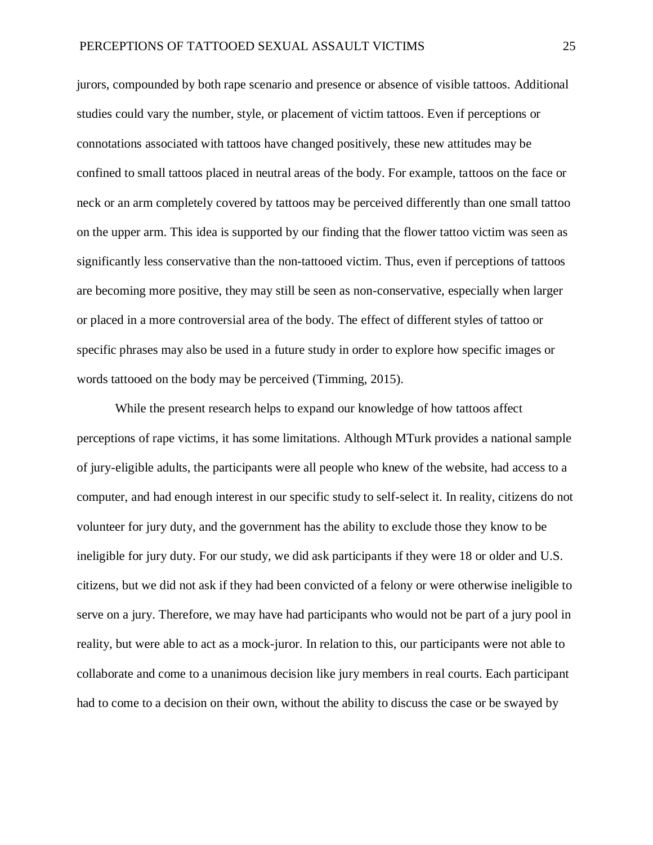jurors, compounded by both rape scenario and presence or absence of visible tattoos. Additional studies could vary the number, style, or placement of victim tattoos. Even if perceptions or connotations associated with tattoos have changed positively, these new attitudes may be confined to small tattoos placed in neutral areas of the body. For example, tattoos on the face or neck or an arm completely covered by tattoos may be perceived differently than one small tattoo on the upper arm. This idea is supported by our finding that the flower tattoo victim was seen as significantly less conservative than the non-tattooed victim. Thus, even if perceptions of tattoos are becoming more positive, they may still be seen as non-conservative, especially when larger or placed in a more controversial area of the body. The effect of different styles of tattoo or specific phrases may also be used in a future study in order to explore how specific images or words tattooed on the body may be perceived (Timming, 2015).

While the present research helps to expand our knowledge of how tattoos affect perceptions of rape victims, it has some limitations. Although MTurk provides a national sample of jury-eligible adults, the participants were all people who knew of the website, had access to a computer, and had enough interest in our specific study to self-select it. In reality, citizens do not volunteer for jury duty, and the government has the ability to exclude those they know to be ineligible for jury duty. For our study, we did ask participants if they were 18 or older and U.S. citizens, but we did not ask if they had been convicted of a felony or were otherwise ineligible to serve on a jury. Therefore, we may have had participants who would not be part of a jury pool in reality, but were able to act as a mock-juror. In relation to this, our participants were not able to collaborate and come to a unanimous decision like jury members in real courts. Each participant had to come to a decision on their own, without the ability to discuss the case or be swayed by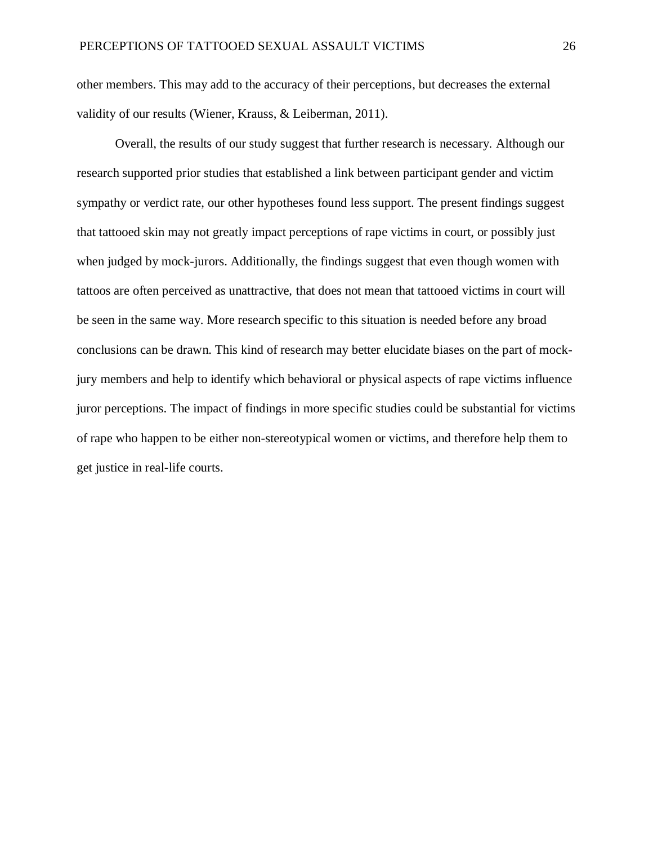other members. This may add to the accuracy of their perceptions, but decreases the external validity of our results (Wiener, Krauss, & Leiberman, 2011).

Overall, the results of our study suggest that further research is necessary. Although our research supported prior studies that established a link between participant gender and victim sympathy or verdict rate, our other hypotheses found less support. The present findings suggest that tattooed skin may not greatly impact perceptions of rape victims in court, or possibly just when judged by mock-jurors. Additionally, the findings suggest that even though women with tattoos are often perceived as unattractive, that does not mean that tattooed victims in court will be seen in the same way. More research specific to this situation is needed before any broad conclusions can be drawn. This kind of research may better elucidate biases on the part of mockjury members and help to identify which behavioral or physical aspects of rape victims influence juror perceptions. The impact of findings in more specific studies could be substantial for victims of rape who happen to be either non-stereotypical women or victims, and therefore help them to get justice in real-life courts.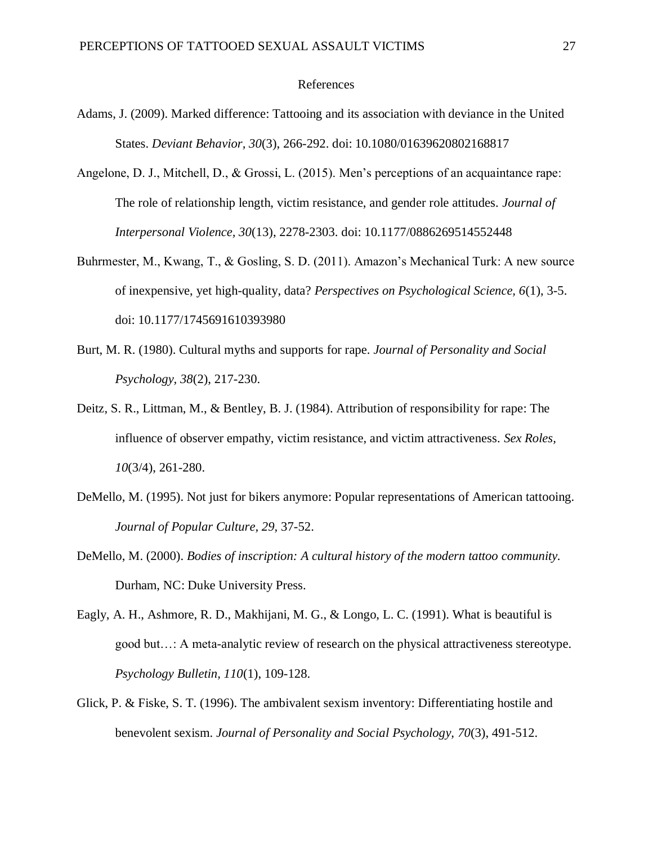#### References

- Adams, J. (2009). Marked difference: Tattooing and its association with deviance in the United States. *Deviant Behavior, 30*(3), 266-292. doi: 10.1080/01639620802168817
- Angelone, D. J., Mitchell, D., & Grossi, L. (2015). Men's perceptions of an acquaintance rape: The role of relationship length, victim resistance, and gender role attitudes. *Journal of Interpersonal Violence, 30*(13), 2278-2303. doi: 10.1177/0886269514552448
- Buhrmester, M., Kwang, T., & Gosling, S. D. (2011). Amazon's Mechanical Turk: A new source of inexpensive, yet high-quality, data? *Perspectives on Psychological Science, 6*(1), 3-5. doi: 10.1177/1745691610393980
- Burt, M. R. (1980). Cultural myths and supports for rape. *Journal of Personality and Social Psychology, 38*(2), 217-230.
- Deitz, S. R., Littman, M., & Bentley, B. J. (1984). Attribution of responsibility for rape: The influence of observer empathy, victim resistance, and victim attractiveness. *Sex Roles, 10*(3/4), 261-280.
- DeMello, M. (1995). Not just for bikers anymore: Popular representations of American tattooing. *Journal of Popular Culture, 29,* 37-52.
- DeMello, M. (2000). *Bodies of inscription: A cultural history of the modern tattoo community.*  Durham, NC: Duke University Press.
- Eagly, A. H., Ashmore, R. D., Makhijani, M. G., & Longo, L. C. (1991). What is beautiful is good but…: A meta-analytic review of research on the physical attractiveness stereotype. *Psychology Bulletin, 110*(1), 109-128.
- Glick, P. & Fiske, S. T. (1996). The ambivalent sexism inventory: Differentiating hostile and benevolent sexism. *Journal of Personality and Social Psychology, 70*(3), 491-512.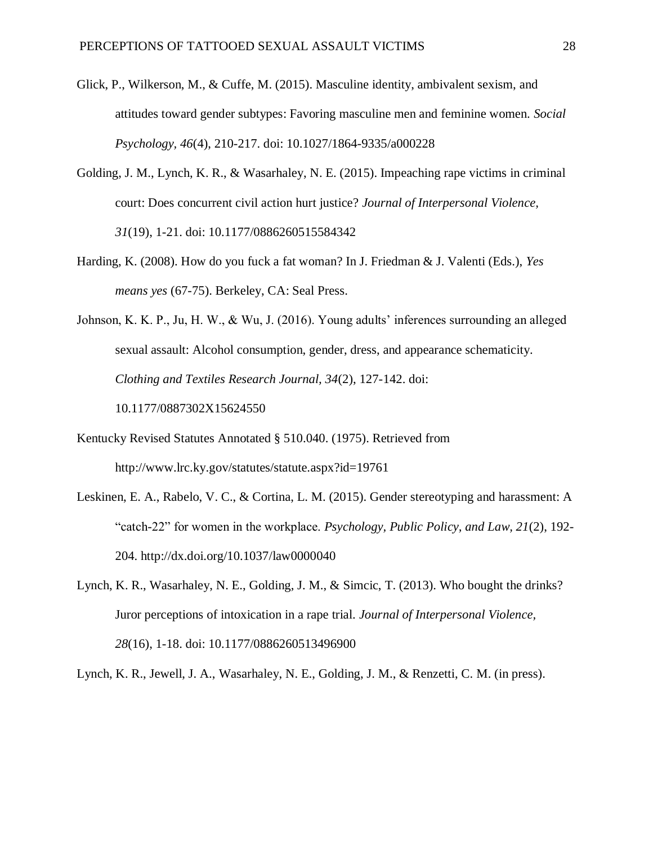- Glick, P., Wilkerson, M., & Cuffe, M. (2015). Masculine identity, ambivalent sexism, and attitudes toward gender subtypes: Favoring masculine men and feminine women. *Social Psychology, 46*(4), 210-217. doi: 10.1027/1864-9335/a000228
- Golding, J. M., Lynch, K. R., & Wasarhaley, N. E. (2015). Impeaching rape victims in criminal court: Does concurrent civil action hurt justice? *Journal of Interpersonal Violence, 31*(19), 1-21. doi: 10.1177/0886260515584342
- Harding, K. (2008). How do you fuck a fat woman? In J. Friedman & J. Valenti (Eds.), *Yes means yes* (67-75). Berkeley, CA: Seal Press.
- Johnson, K. K. P., Ju, H. W., & Wu, J. (2016). Young adults' inferences surrounding an alleged sexual assault: Alcohol consumption, gender, dress, and appearance schematicity. *Clothing and Textiles Research Journal, 34*(2), 127-142. doi: 10.1177/0887302X15624550
- Kentucky Revised Statutes Annotated § 510.040. (1975). Retrieved from http://www.lrc.ky.gov/statutes/statute.aspx?id=19761
- Leskinen, E. A., Rabelo, V. C., & Cortina, L. M. (2015). Gender stereotyping and harassment: A "catch-22" for women in the workplace. *Psychology, Public Policy, and Law, 21*(2), 192- 204. http://dx.doi.org/10.1037/law0000040
- Lynch, K. R., Wasarhaley, N. E., Golding, J. M., & Simcic, T. (2013). Who bought the drinks? Juror perceptions of intoxication in a rape trial. *Journal of Interpersonal Violence, 28*(16), 1-18. doi: 10.1177/0886260513496900

Lynch, K. R., Jewell, J. A., Wasarhaley, N. E., Golding, J. M., & Renzetti, C. M. (in press).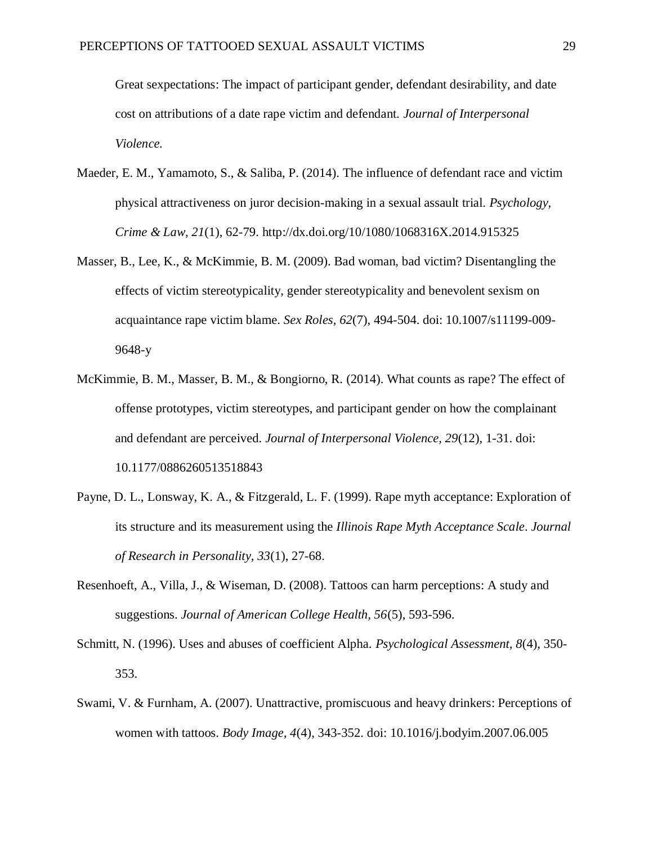Great sexpectations: The impact of participant gender, defendant desirability, and date cost on attributions of a date rape victim and defendant. *Journal of Interpersonal Violence.*

- Maeder, E. M., Yamamoto, S., & Saliba, P. (2014). The influence of defendant race and victim physical attractiveness on juror decision-making in a sexual assault trial. *Psychology, Crime & Law, 21*(1), 62-79. http://dx.doi.org/10/1080/1068316X.2014.915325
- Masser, B., Lee, K., & McKimmie, B. M. (2009). Bad woman, bad victim? Disentangling the effects of victim stereotypicality, gender stereotypicality and benevolent sexism on acquaintance rape victim blame. *Sex Roles, 62*(7), 494-504. doi: 10.1007/s11199-009- 9648-y
- McKimmie, B. M., Masser, B. M., & Bongiorno, R. (2014). What counts as rape? The effect of offense prototypes, victim stereotypes, and participant gender on how the complainant and defendant are perceived. *Journal of Interpersonal Violence, 29*(12), 1-31. doi: 10.1177/0886260513518843
- Payne, D. L., Lonsway, K. A., & Fitzgerald, L. F. (1999). Rape myth acceptance: Exploration of its structure and its measurement using the *Illinois Rape Myth Acceptance Scale*. *Journal of Research in Personality, 33*(1), 27-68.
- Resenhoeft, A., Villa, J., & Wiseman, D. (2008). Tattoos can harm perceptions: A study and suggestions. *Journal of American College Health, 56*(5), 593-596.
- Schmitt, N. (1996). Uses and abuses of coefficient Alpha. *Psychological Assessment, 8*(4), 350- 353.
- Swami, V. & Furnham, A. (2007). Unattractive, promiscuous and heavy drinkers: Perceptions of women with tattoos. *Body Image, 4*(4), 343-352. doi: 10.1016/j.bodyim.2007.06.005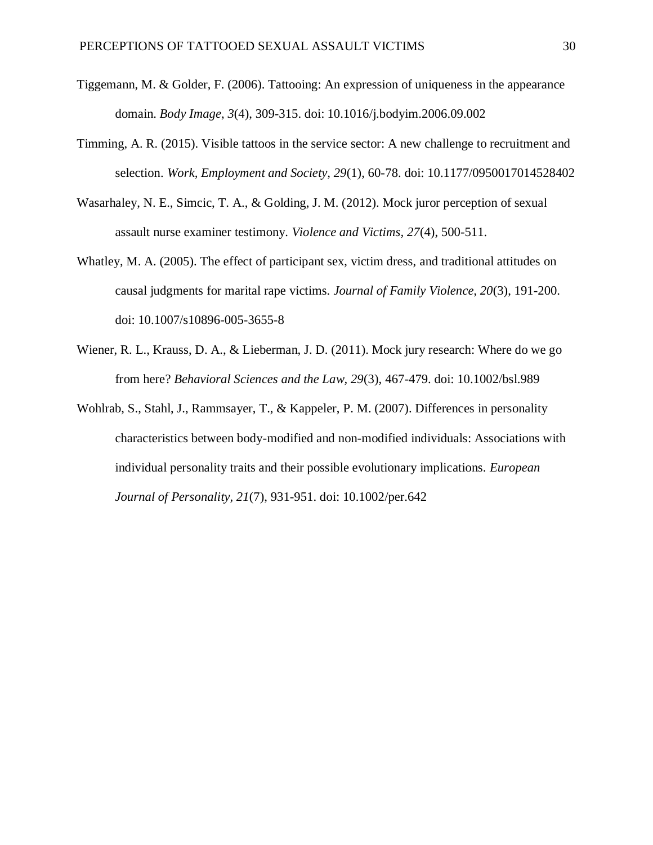- Tiggemann, M. & Golder, F. (2006). Tattooing: An expression of uniqueness in the appearance domain. *Body Image*, *3*(4), 309-315. doi: 10.1016/j.bodyim.2006.09.002
- Timming, A. R. (2015). Visible tattoos in the service sector: A new challenge to recruitment and selection. *Work, Employment and Society, 29*(1), 60-78. doi: 10.1177/0950017014528402
- Wasarhaley, N. E., Simcic, T. A., & Golding, J. M. (2012). Mock juror perception of sexual assault nurse examiner testimony. *Violence and Victims, 27*(4), 500-511.
- Whatley, M. A. (2005). The effect of participant sex, victim dress, and traditional attitudes on causal judgments for marital rape victims. *Journal of Family Violence, 20*(3), 191-200. doi: 10.1007/s10896-005-3655-8
- Wiener, R. L., Krauss, D. A., & Lieberman, J. D. (2011). Mock jury research: Where do we go from here? *Behavioral Sciences and the Law, 29*(3), 467-479. doi: 10.1002/bsl.989
- Wohlrab, S., Stahl, J., Rammsayer, T., & Kappeler, P. M. (2007). Differences in personality characteristics between body-modified and non-modified individuals: Associations with individual personality traits and their possible evolutionary implications. *European Journal of Personality, 21*(7), 931-951. doi: 10.1002/per.642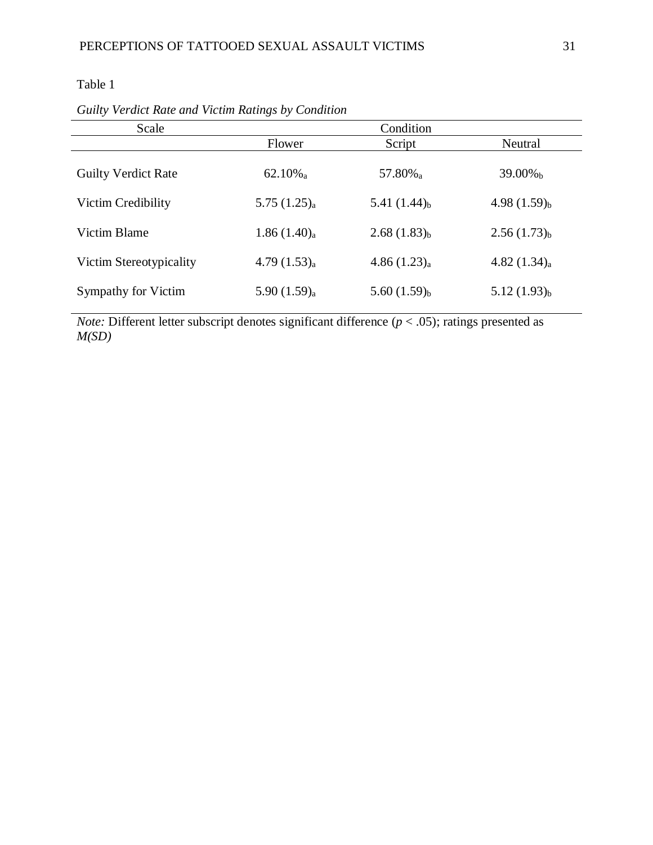## Table 1

| Scale                      |                         | Condition                  |                            |
|----------------------------|-------------------------|----------------------------|----------------------------|
|                            | Flower                  | Script                     | Neutral                    |
| <b>Guilty Verdict Rate</b> | $62.10\%$ <sub>a</sub>  | 57.80% <sub>a</sub>        | 39.00% <sub>b</sub>        |
| Victim Credibility         | 5.75(1.25) <sub>a</sub> | 5.41 $(1.44)$ <sub>b</sub> | 4.98 $(1.59)_{b}$          |
| Victim Blame               | 1.86(1.40) <sub>a</sub> | $2.68(1.83)_{b}$           | $2.56(1.73)_{b}$           |
| Victim Stereotypicality    | 4.79(1.53) <sub>a</sub> | 4.86(1.23) <sub>a</sub>    | 4.82 $(1.34)$ <sub>a</sub> |
| Sympathy for Victim        | 5.90 $(1.59)_{a}$       | 5.60 $(1.59)_{b}$          | $5.12(1.93)_{b}$           |

*Guilty Verdict Rate and Victim Ratings by Condition*

*Note:* Different letter subscript denotes significant difference  $(p < .05)$ ; ratings presented as *M(SD)*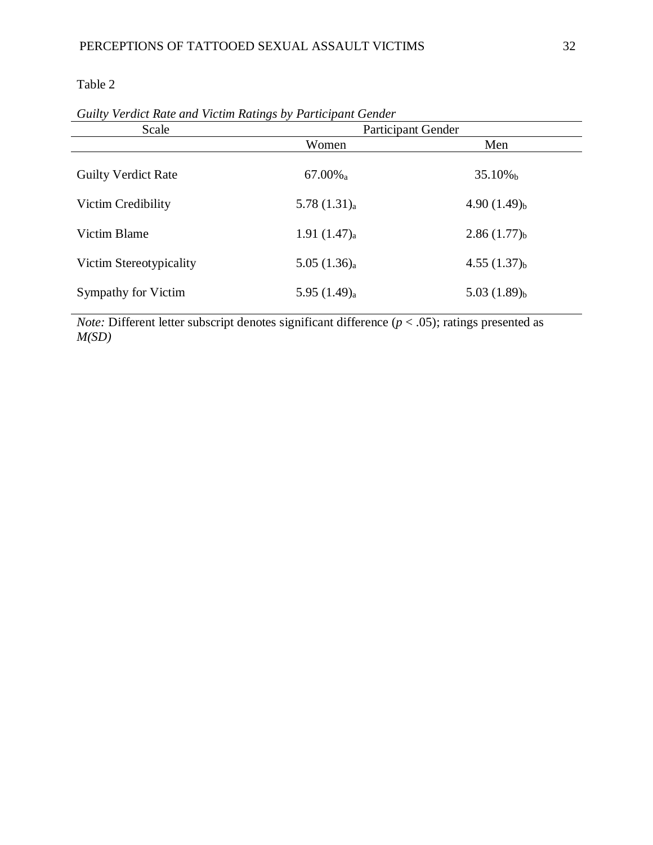Table 2

| Scale                      | Participant Gender         |                         |  |
|----------------------------|----------------------------|-------------------------|--|
|                            | Women                      | Men                     |  |
| <b>Guilty Verdict Rate</b> | $67.00\%$ <sub>a</sub>     | $35.10\%$               |  |
| Victim Credibility         | 5.78(1.31) <sub>a</sub>    | $4.90(1.49)_{b}$        |  |
| Victim Blame               | 1.91 $(1.47)$ <sub>a</sub> | $2.86(1.77)_b$          |  |
| Victim Stereotypicality    | 5.05(1.36) <sub>a</sub>    | 4.55(1.37) <sub>b</sub> |  |
| Sympathy for Victim        | 5.95 $(1.49)$ <sub>a</sub> | 5.03(1.89) <sub>b</sub> |  |

*Guilty Verdict Rate and Victim Ratings by Participant Gender*

*Note:* Different letter subscript denotes significant difference  $(p < .05)$ ; ratings presented as *M(SD)*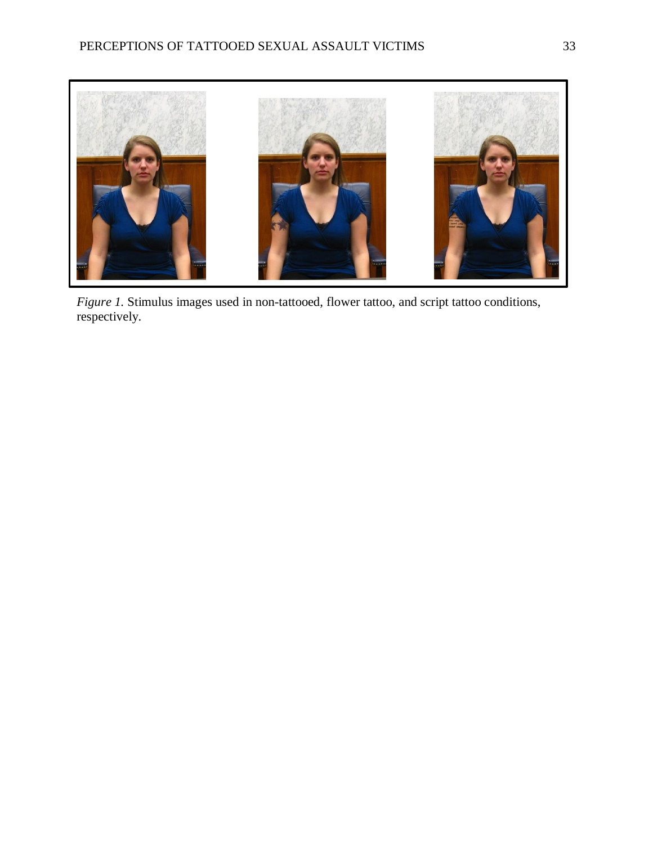

*Figure 1.* Stimulus images used in non-tattooed, flower tattoo, and script tattoo conditions, respectively.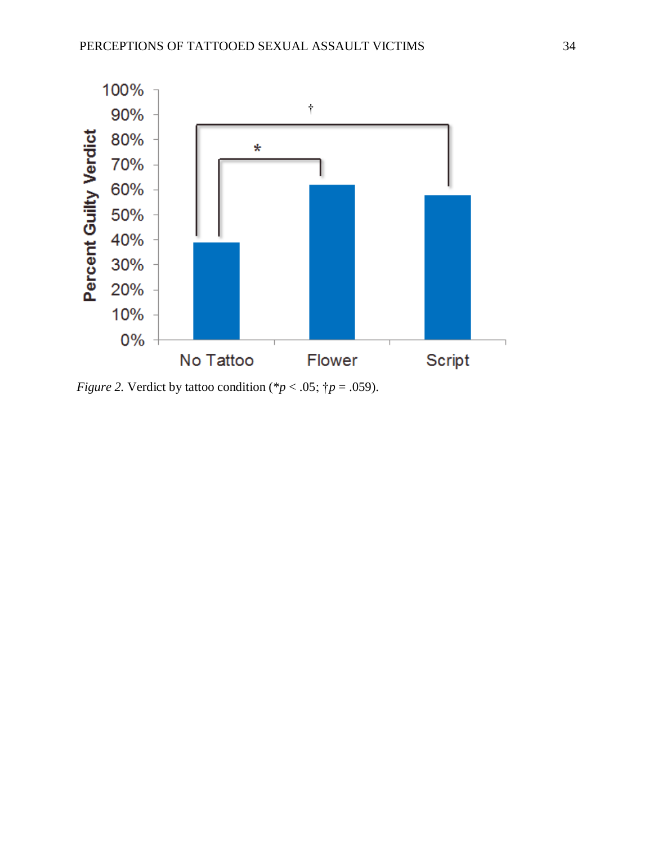

*Figure 2.* Verdict by tattoo condition (\* $p < .05$ ; † $p = .059$ ).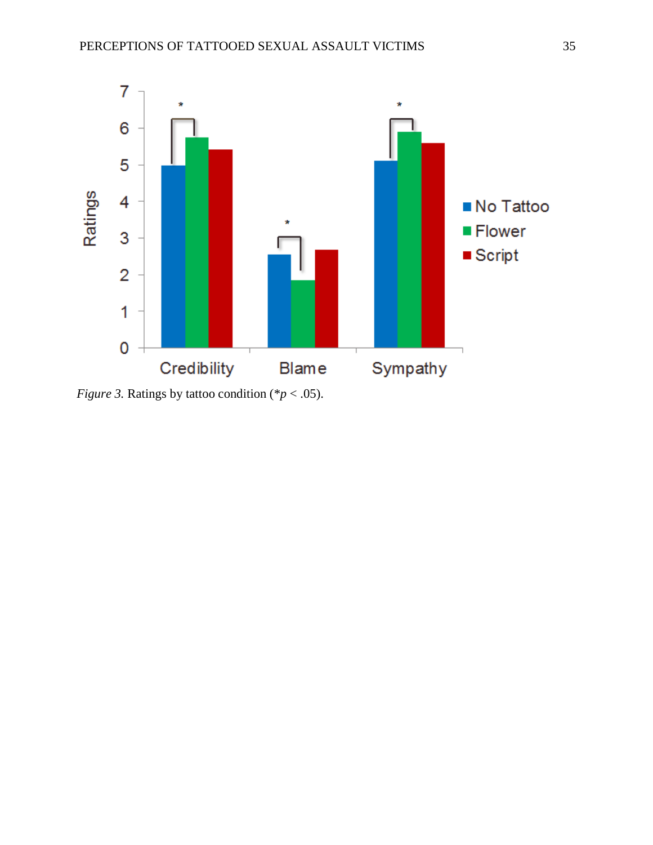

*Figure 3.* Ratings by tattoo condition (\**p* < .05).